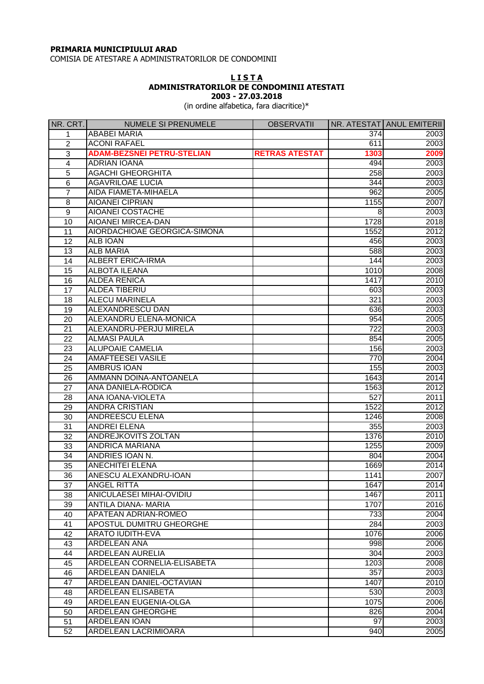## **PRIMARIA MUNICIPIULUI ARAD**

COMISIA DE ATESTARE A ADMINISTRATORILOR DE CONDOMINII

## **L I S T A ADMINISTRATORILOR DE CONDOMINII ATESTATI 2003 - 27.03.2018**

(in ordine alfabetica, fara diacritice)\*

| NR. CRT.        | <b>NUMELE SI PRENUMELE</b>        | <b>OBSERVATII</b>     |                 | NR. ATESTAT ANUL EMITERII |
|-----------------|-----------------------------------|-----------------------|-----------------|---------------------------|
| 1               | ABABEI MARIA                      |                       | 374             | 2003                      |
| $\overline{2}$  | <b>ACONI RAFAEL</b>               |                       | 611             | 2003                      |
| 3               | <b>ADAM-BEZSNEI PETRU-STELIAN</b> | <b>RETRAS ATESTAT</b> | 1303            | 2009                      |
| 4               | <b>ADRIAN IOANA</b>               |                       | 494             | 2003                      |
| 5               | <b>AGACHI GHEORGHITA</b>          |                       | 258             | 2003                      |
| 6               | <b>AGAVRILOAE LUCIA</b>           |                       | 344             | 2003                      |
| $\overline{7}$  | <b>AIDA FIAMETA-MIHAELA</b>       |                       | 962             | 2005                      |
| 8               | <b>AIOANEI CIPRIAN</b>            |                       | 1155            | 2007                      |
| 9               | <b>AIOANEI COSTACHE</b>           |                       | 8               | 2003                      |
| 10              | <b>AIOANEI MIRCEA-DAN</b>         |                       | 1728            | 2018                      |
| 11              | AIORDACHIOAE GEORGICA-SIMONA      |                       | 1552            | 2012                      |
| 12              | <b>ALB IOAN</b>                   |                       | 456             | 2003                      |
| 13              | <b>ALB MARIA</b>                  |                       | 588             | 2003                      |
| 14              | <b>ALBERT ERICA-IRMA</b>          |                       | 144             | 2003                      |
| 15              | <b>ALBOTA ILEANA</b>              |                       | 1010            | 2008                      |
| 16              | <b>ALDEA RENICA</b>               |                       | 1417            | 2010                      |
| 17              | <b>ALDEA TIBERIU</b>              |                       | 603             | 2003                      |
|                 | <b>ALECU MARINELA</b>             |                       | 321             |                           |
| 18              | <b>ALEXANDRESCU DAN</b>           |                       |                 | 2003                      |
| 19              |                                   |                       | 636             | 2003                      |
| 20              | ALEXANDRU ELENA-MONICA            |                       | 954             | 2005                      |
| 21              | ALEXANDRU-PERJU MIRELA            |                       | 722             | 2003                      |
| 22              | <b>ALMASI PAULA</b>               |                       | 854             | 2005                      |
| 23              | <b>ALUPOAIE CAMELIA</b>           |                       | 156             | 2003                      |
| 24              | <b>AMAFTEESEI VASILE</b>          |                       | 770             | 2004                      |
| 25              | <b>AMBRUS IOAN</b>                |                       | 155             | 2003                      |
| 26              | AMMANN DOINA-ANTOANELA            |                       | 1643            | 2014                      |
| 27              | ANA DANIELA-RODICA                |                       | 1563            | 2012                      |
| 28              | ANA IOANA-VIOLETA                 |                       | 527             | 2011                      |
| 29              | <b>ANDRA CRISTIAN</b>             |                       | 1522            | 2012                      |
| 30              | <b>ANDREESCU ELENA</b>            |                       | 1246            | 2008                      |
| 31              | <b>ANDREI ELENA</b>               |                       | 355             | 2003                      |
| 32              | ANDREJKOVITS ZOLTAN               |                       | 1376            | 2010                      |
| 33              | <b>ANDRICA MARIANA</b>            |                       | 1255            | 2009                      |
| 34              | ANDRIES IOAN N.                   |                       | 804             | 2004                      |
| 35              | <b>ANECHITEI ELENA</b>            |                       | 1669            | 2014                      |
| 36              | ANESCU ALEXANDRU-IOAN             |                       | 1141            | 2007                      |
| $\overline{37}$ | <b>ANGEL RITTA</b>                |                       | 1647            | 2014                      |
| 38              | <b>ANICULAESEI MIHAI-OVIDIU</b>   |                       | 1467            | 2011                      |
| 39              | ANTILA DIANA- MARIA               |                       | 1707            | 2016                      |
| 40              | APATEAN ADRIAN-ROMEO              |                       | 733             | 2004                      |
| 41              | APOSTUL DUMITRU GHEORGHE          |                       | 284             | 2003                      |
| 42              | <b>ARATO IUDITH-EVA</b>           |                       | 1076            | 2006                      |
| 43              | ARDELEAN ANA                      |                       | 998             | 2006                      |
| 44              | ARDELEAN AURELIA                  |                       | 304             | 2003                      |
| 45              | ARDELEAN CORNELIA-ELISABETA       |                       | 1203            | 2008                      |
| 46              | ARDELEAN DANIELA                  |                       | 357             | 2003                      |
| 47              | ARDELEAN DANIEL-OCTAVIAN          |                       | 1407            | 2010                      |
| 48              | ARDELEAN ELISABETA                |                       | 530             | 2003                      |
| 49              | ARDELEAN EUGENIA-OLGA             |                       | 1075            | 2006                      |
| 50              | ARDELEAN GHEORGHE                 |                       | 826             | 2004                      |
| 51              | ARDELEAN IOAN                     |                       | $\overline{97}$ | 2003                      |
| 52              | ARDELEAN LACRIMIOARA              |                       | 940             | 2005                      |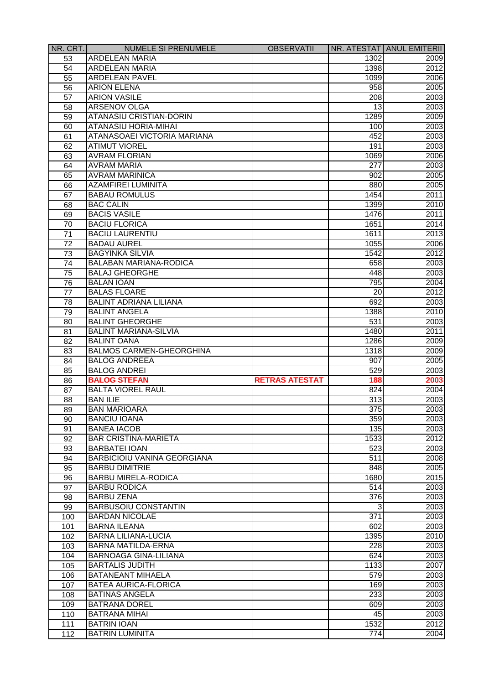| NR. CRT.              | <b>NUMELE SI PRENUMELE</b>         | <b>OBSERVATII</b>     |                  | NR. ATESTAT ANUL EMITERII |
|-----------------------|------------------------------------|-----------------------|------------------|---------------------------|
| 53                    | <b>ARDELEAN MARIA</b>              |                       | 1302             | 2009                      |
| 54                    | <b>ARDELEAN MARIA</b>              |                       | 1398             | 2012                      |
| 55                    | <b>ARDELEAN PAVEL</b>              |                       | 1099             | 2006                      |
| 56                    | <b>ARION ELENA</b>                 |                       | 958              | 2005                      |
| 57                    | <b>ARION VASILE</b>                |                       | 208              | 2003                      |
| 58                    | <b>ARSENOV OLGA</b>                |                       | 13               | 2003                      |
| 59                    | <b>ATANASIU CRISTIAN-DORIN</b>     |                       | 1289             | 2009                      |
| 60                    | <b>ATANASIU HORIA-MIHAI</b>        |                       | 100              | 2003                      |
| 61                    | ATANASOAEI VICTORIA MARIANA        |                       | 452              | 2003                      |
| 62                    | <b>ATIMUT VIOREL</b>               |                       | 191              | 2003                      |
| 63                    | <b>AVRAM FLORIAN</b>               |                       | 1069             | 2006                      |
| 64                    | <b>AVRAM MARIA</b>                 |                       | $\overline{277}$ | 2003                      |
| 65                    | <b>AVRAM MARINICA</b>              |                       | 902              | 2005                      |
| 66                    | <b>AZAMFIREI LUMINITA</b>          |                       | 880              | 2005                      |
| 67                    | <b>BABAU ROMULUS</b>               |                       | 1454             | 2011                      |
| 68                    | <b>BAC CALIN</b>                   |                       | 1399             | 2010                      |
| 69                    | <b>BACIS VASILE</b>                |                       | 1476             | 2011                      |
| 70                    | <b>BACIU FLORICA</b>               |                       | 1651             | $\overline{2}014$         |
| 71                    | <b>BACIU LAURENTIU</b>             |                       | 1611             | 2013                      |
| $\overline{72}$       | <b>BADAU AUREL</b>                 |                       | 1055             | 2006                      |
| 73                    | <b>BAGYINKA SILVIA</b>             |                       | 1542             | 2012                      |
| 74                    | <b>BALABAN MARIANA-RODICA</b>      |                       | 658              | 2003                      |
| 75                    | <b>BALAJ GHEORGHE</b>              |                       | 448              | 2003                      |
|                       | <b>BALAN IOAN</b>                  |                       | 795              | 2004                      |
| 76<br>$\overline{77}$ | <b>BALAS FLOARE</b>                |                       |                  |                           |
|                       | <b>BALINT ADRIANA LILIANA</b>      |                       | 20               | 2012                      |
| 78                    |                                    |                       | 692              | 2003                      |
| 79                    | <b>BALINT ANGELA</b>               |                       | 1388             | 2010                      |
| 80                    | <b>BALINT GHEORGHE</b>             |                       | 531              | 2003                      |
| 81                    | <b>BALINT MARIANA-SILVIA</b>       |                       | 1480             | 2011                      |
| 82                    | <b>BALINT OANA</b>                 |                       | 1286             | 2009                      |
| 83                    | <b>BALMOS CARMEN-GHEORGHINA</b>    |                       | 1318             | 2009                      |
| 84                    | <b>BALOG ANDREEA</b>               |                       | 907              | 2005                      |
| 85                    | <b>BALOG ANDREI</b>                |                       | 529              | 2003                      |
| 86                    | <b>BALOG STEFAN</b>                | <b>RETRAS ATESTAT</b> | 188              | 2003                      |
| 87                    | <b>BALTA VIOREL RAUL</b>           |                       | 824              | 2004                      |
| 88                    | <b>BAN ILIE</b>                    |                       | 313              | 2003                      |
| $\overline{89}$       | <b>BAN MARIOARA</b>                |                       | 375              | 2003                      |
| 90                    | <b>BANCIU IOANA</b>                |                       | 359              | 2003                      |
| 91                    | <b>BANEA IACOB</b>                 |                       | 135              | 2003                      |
| 92                    | <b>BAR CRISTINA-MARIETA</b>        |                       | 1533             | 2012                      |
| 93                    | <b>BARBATEI IOAN</b>               |                       | 523              | 2003                      |
| 94                    | <b>BARBICIOIU VANINA GEORGIANA</b> |                       | 511              | 2008                      |
| 95                    | <b>BARBU DIMITRIE</b>              |                       | 848              | 2005                      |
| 96                    | <b>BARBU MIRELA-RODICA</b>         |                       | 1680             | 2015                      |
| 97                    | <b>BARBU RODICA</b>                |                       | 514              | 2003                      |
| 98                    | <b>BARBU ZENA</b>                  |                       | 376              | 2003                      |
| 99                    | <b>BARBUSOIU CONSTANTIN</b>        |                       | 3                | 2003                      |
| 100                   | <b>BARDAN NICOLAE</b>              |                       | 371              | 2003                      |
| 101                   | <b>BARNA ILEANA</b>                |                       | 602              | 2003                      |
| 102                   | <b>BARNA LILIANA-LUCIA</b>         |                       | 1395             | 2010                      |
| 103                   | <b>BARNA MATILDA-ERNA</b>          |                       | 228              | 2003                      |
| 104                   | <b>BARNOAGA GINA-LILIANA</b>       |                       | 624              | 2003                      |
| 105                   | <b>BARTALIS JUDITH</b>             |                       | 1133             | 2007                      |
| 106                   | <b>BATANEANT MIHAELA</b>           |                       | 579              | 2003                      |
| 107                   | <b>BATEA AURICA-FLORICA</b>        |                       | 169              | 2003                      |
| 108                   | <b>BATINAS ANGELA</b>              |                       | 233              | 2003                      |
| 109                   | <b>BATRANA DOREL</b>               |                       | 609              | 2003                      |
| 110                   | <b>BATRANA MIHAI</b>               |                       | 45               | 2003                      |
| 111                   | <b>BATRIN IOAN</b>                 |                       | 1532             | 2012                      |
| 112                   | <b>BATRIN LUMINITA</b>             |                       | 774              | 2004                      |
|                       |                                    |                       |                  |                           |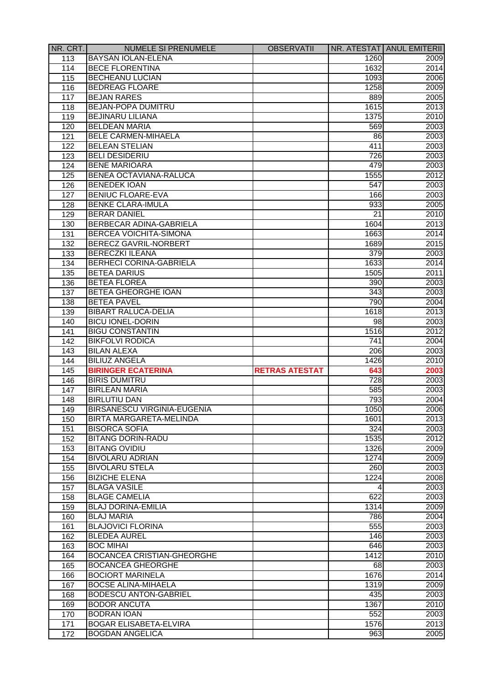| NR. CRT. | <b>NUMELE SI PRENUMELE</b>         | <b>OBSERVATII</b>     |      | NR. ATESTAT ANUL EMITERII |
|----------|------------------------------------|-----------------------|------|---------------------------|
| 113      | <b>BAYSAN IOLAN-ELENA</b>          |                       | 1260 | 2009                      |
| 114      | <b>BECE FLORENTINA</b>             |                       | 1632 | 2014                      |
| 115      | <b>BECHEANU LUCIAN</b>             |                       | 1093 | 2006                      |
| 116      | <b>BEDREAG FLOARE</b>              |                       | 1258 | 2009                      |
| 117      | <b>BEJAN RARES</b>                 |                       | 889  | 2005                      |
| 118      | <b>BEJAN-POPA DUMITRU</b>          |                       | 1615 | 2013                      |
| 119      | <b>BEJINARU LILIANA</b>            |                       | 1375 | 2010                      |
| 120      | <b>BELDEAN MARIA</b>               |                       | 569  | 2003                      |
| 121      | <b>BELE CARMEN-MIHAELA</b>         |                       | 86   | 2003                      |
| 122      | <b>BELEAN STELIAN</b>              |                       | 411  | 2003                      |
| 123      | <b>BELI DESIDERIU</b>              |                       | 726  | 2003                      |
| 124      | <b>BENE MARIOARA</b>               |                       | 479  | 2003                      |
| 125      | <b>BENEA OCTAVIANA-RALUCA</b>      |                       | 1555 | 2012                      |
| 126      | <b>BENEDEK IOAN</b>                |                       | 547  | 2003                      |
| 127      | <b>BENIUC FLOARE-EVA</b>           |                       | 166  | 2003                      |
| 128      | <b>BENKE CLARA-IMULA</b>           |                       | 933  | 2005                      |
| 129      | <b>BERAR DANIEL</b>                |                       | 21   | 2010                      |
| 130      | BERBECAR ADINA-GABRIELA            |                       | 1604 | 2013                      |
| 131      | <b>BERCEA VOICHITA-SIMONA</b>      |                       | 1663 | 2014                      |
| 132      | BERECZ GAVRIL-NORBERT              |                       | 1689 | 2015                      |
| 133      | <b>BERECZKI ILEANA</b>             |                       | 379  | 2003                      |
| 134      | <b>BERHECI CORINA-GABRIELA</b>     |                       | 1633 | 2014                      |
| 135      | <b>BETEA DARIUS</b>                |                       | 1505 | 2011                      |
|          | <b>BETEA FLOREA</b>                |                       | 390  | 2003                      |
| 136      | <b>BETEA GHEORGHE IOAN</b>         |                       | 343  | 2003                      |
| 137      | <b>BETEA PAVEL</b>                 |                       | 790  | 2004                      |
| 138      | <b>BIBART RALUCA-DELIA</b>         |                       |      |                           |
| 139      | <b>BICU IONEL-DORIN</b>            |                       | 1618 | 2013                      |
| 140      |                                    |                       | 98   | 2003                      |
| 141      | <b>BIGU CONSTANTIN</b>             |                       | 1516 | 2012                      |
| 142      | <b>BIKFOLVI RODICA</b>             |                       | 741  | 2004                      |
| 143      | <b>BILAN ALEXA</b>                 |                       | 206  | 2003                      |
| 144      | <b>BILIUZ ANGELA</b>               |                       | 1426 | 2010                      |
| 145      | <b>BIRINGER ECATERINA</b>          | <b>RETRAS ATESTAT</b> | 643  | 2003                      |
| 146      | <b>BIRIS DUMITRU</b>               |                       | 728  | 2003                      |
| 147      | <b>BIRLEAN MARIA</b>               |                       | 585  | 2003                      |
| 148      | <b>BIRLUTIU DAN</b>                |                       | 793  | 2004                      |
| 149      | <b>BIRSANESCU VIRGINIA-EUGENIA</b> |                       | 1050 | 2006                      |
| 150      | BIRTA MARGARETA-MELINDA            |                       | 1601 | 2013                      |
| 151      | <b>BISORCA SOFIA</b>               |                       | 324  | 2003                      |
| 152      | <b>BITANG DORIN-RADU</b>           |                       | 1535 | 2012                      |
| 153      | <b>BITANG OVIDIU</b>               |                       | 1326 | 2009                      |
| 154      | <b>BIVOLARU ADRIAN</b>             |                       | 1274 | 2009                      |
| 155      | <b>BIVOLARU STELA</b>              |                       | 260  | 2003                      |
| 156      | <b>BIZICHE ELENA</b>               |                       | 1224 | 2008                      |
| 157      | <b>BLAGA VASILE</b>                |                       | 4    | 2003                      |
| 158      | <b>BLAGE CAMELIA</b>               |                       | 622  | 2003                      |
| 159      | <b>BLAJ DORINA-EMILIA</b>          |                       | 1314 | 2009                      |
| 160      | <b>BLAJ MARIA</b>                  |                       | 786  | 2004                      |
| 161      | <b>BLAJOVICI FLORINA</b>           |                       | 555  | 2003                      |
| 162      | <b>BLEDEA AUREL</b>                |                       | 146  | 2003                      |
| 163      | <b>BOC MIHAI</b>                   |                       | 646  | 2003                      |
| 164      | <b>BOCANCEA CRISTIAN-GHEORGHE</b>  |                       | 1412 | 2010                      |
| 165      | <b>BOCANCEA GHEORGHE</b>           |                       | 68   | 2003                      |
| 166      | <b>BOCIORT MARINELA</b>            |                       | 1676 | 2014                      |
| 167      | <b>BOCSE ALINA-MIHAELA</b>         |                       | 1319 | 2009                      |
| 168      | <b>BODESCU ANTON-GABRIEL</b>       |                       | 435  | 2003                      |
| 169      | <b>BODOR ANCUTA</b>                |                       | 1367 | 2010                      |
| 170      | <b>BODRAN IOAN</b>                 |                       | 552  | 2003                      |
| 171      | <b>BOGAR ELISABETA-ELVIRA</b>      |                       | 1576 | 2013                      |
|          | <b>BOGDAN ANGELICA</b>             |                       | 963  | 2005                      |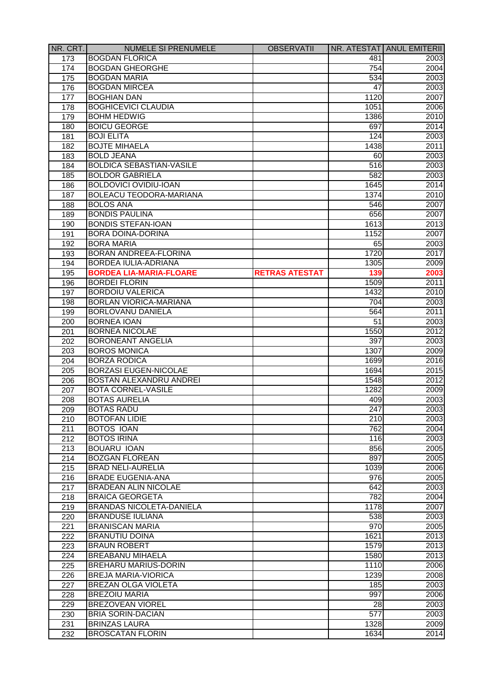| NR. CRT.         | <b>NUMELE SI PRENUMELE</b>                        | <b>OBSERVATII</b>     |                  | NR. ATESTAT ANUL EMITERII |
|------------------|---------------------------------------------------|-----------------------|------------------|---------------------------|
| 173              | <b>BOGDAN FLORICA</b>                             |                       | 481              | 2003                      |
| 174              | <b>BOGDAN GHEORGHE</b>                            |                       | 754              | 2004                      |
| 175              | <b>BOGDAN MARIA</b>                               |                       | 534              | 2003                      |
| 176              | <b>BOGDAN MIRCEA</b>                              |                       | 47               | 2003                      |
| 177              | <b>BOGHIAN DAN</b>                                |                       | 1120             | 2007                      |
| 178              | <b>BOGHICEVICI CLAUDIA</b>                        |                       | 1051             | 2006                      |
| 179              | <b>BOHM HEDWIG</b>                                |                       | 1386             | 2010                      |
| 180              | <b>BOICU GEORGE</b>                               |                       | 697              | 2014                      |
| 181              | <b>BOJI ELITA</b>                                 |                       | 124              | 2003                      |
| 182              | <b>BOJTE MIHAELA</b>                              |                       | 1438             | 2011                      |
| 183              | <b>BOLD JEANA</b>                                 |                       | 60               | 2003                      |
| 184              | <b>BOLDICA SEBASTIAN-VASILE</b>                   |                       | 516              | 2003                      |
| 185              | <b>BOLDOR GABRIELA</b>                            |                       | 582              | 2003                      |
| 186              | <b>BOLDOVICI OVIDIU-IOAN</b>                      |                       | 1645             | 2014                      |
| 187              | <b>BOLEACU TEODORA-MARIANA</b>                    |                       | 1374             | 2010                      |
| 188              | <b>BOLOS ANA</b>                                  |                       | 546              | 2007                      |
| 189              | <b>BONDIS PAULINA</b>                             |                       | 656              | 2007                      |
| 190              | <b>BONDIS STEFAN-IOAN</b>                         |                       | 1613             | 2013                      |
| 191              | <b>BORA DOINA-DORINA</b>                          |                       | 1152             | 2007                      |
| 192              | <b>BORA MARIA</b>                                 |                       | 65               | 2003                      |
| 193              | <b>BORAN ANDREEA-FLORINA</b>                      |                       | 1720             | 2017                      |
| 194              | <b>BORDEA IULIA-ADRIANA</b>                       |                       | 1305             | 2009                      |
| 195              | <b>BORDEA LIA-MARIA-FLOARE</b>                    | <b>RETRAS ATESTAT</b> | 139              | 2003                      |
| 196              | <b>BORDEI FLORIN</b>                              |                       | 1509             | 2011                      |
| 197              | <b>BORDOIU VALERICA</b>                           |                       | 1432             | 2010                      |
| 198              | <b>BORLAN VIORICA-MARIANA</b>                     |                       | 704              | 2003                      |
| 199              | <b>BORLOVANU DANIELA</b>                          |                       | 564              | 2011                      |
| 200              | <b>BORNEA IOAN</b>                                |                       | 51               | 2003                      |
| 201              | <b>BORNEA NICOLAE</b>                             |                       | 1550             | 2012                      |
| 202              | <b>BORONEANT ANGELIA</b>                          |                       | 397              | 2003                      |
| 203              | <b>BOROS MONICA</b>                               |                       | 1307             | 2009                      |
| 204              | <b>BORZA RODICA</b>                               |                       | 1699             | 2016                      |
| 205              | <b>BORZASI EUGEN-NICOLAE</b>                      |                       | 1694             | 2015                      |
| 206              | <b>BOSTAN ALEXANDRU ANDREI</b>                    |                       | 1548             | $\overline{2012}$         |
| 207              | <b>BOTA CORNEL-VASILE</b>                         |                       | 1282             | 2009                      |
| 208              | <b>BOTAS AURELIA</b>                              |                       | 409              | 2003                      |
| 209              | <b>BOTAS RADU</b>                                 |                       | 247              | 2003                      |
| 210              | <b>BOTOFAN LIDIE</b>                              |                       | $\overline{210}$ | 2003                      |
| 211              | <b>BOTOS IOAN</b>                                 |                       | 762              | 2004                      |
| 212              | <b>BOTOS IRINA</b>                                |                       | 116              | 2003                      |
| 213              | <b>BOUARU IOAN</b>                                |                       | 856              | 2005                      |
|                  |                                                   |                       | 897              |                           |
| 214              | <b>BOZGAN FLOREAN</b><br><b>BRAD NELI-AURELIA</b> |                       | 1039             | 2005<br>2006              |
| 215              | <b>BRADE EUGENIA-ANA</b>                          |                       | 976              | 2005                      |
| 216              | <b>BRADEAN ALIN NICOLAE</b>                       |                       | 642              | 2003                      |
| 217              | <b>BRAICA GEORGETA</b>                            |                       | 782              |                           |
| 218              |                                                   |                       |                  | 2004                      |
| 219              | <b>BRANDAS NICOLETA-DANIELA</b>                   |                       | 1178             | 2007                      |
| 220              | <b>BRANDUSE IULIANA</b>                           |                       | 538              | 2003                      |
| 221              | <b>BRANISCAN MARIA</b>                            |                       | 970              | 2005                      |
| 222              | <b>BRANUTIU DOINA</b>                             |                       | 1621             | 2013                      |
| 223              | <b>BRAUN ROBERT</b>                               |                       | 1579             | 2013                      |
| 224              | <b>BREABANU MIHAELA</b>                           |                       | 1580             | 2013                      |
| 225              | <b>BREHARU MARIUS-DORIN</b>                       |                       | 1110             | 2006                      |
| 226              | <b>BREJA MARIA-VIORICA</b>                        |                       | 1239             | 2008                      |
| $\overline{227}$ | <b>BREZAN OLGA VIOLETA</b>                        |                       | 185              | 2003                      |
| 228              | <b>BREZOIU MARIA</b>                              |                       | 997              | 2006                      |
| 229              | <b>BREZOVEAN VIOREL</b>                           |                       | 28               | 2003                      |
| 230              | <b>BRIA SORIN-DACIAN</b>                          |                       | 577              | 2003                      |
| 231              | <b>BRINZAS LAURA</b>                              |                       | 1328             | 2009                      |
| 232              | <b>BROSCATAN FLORIN</b>                           |                       | 1634             | 2014                      |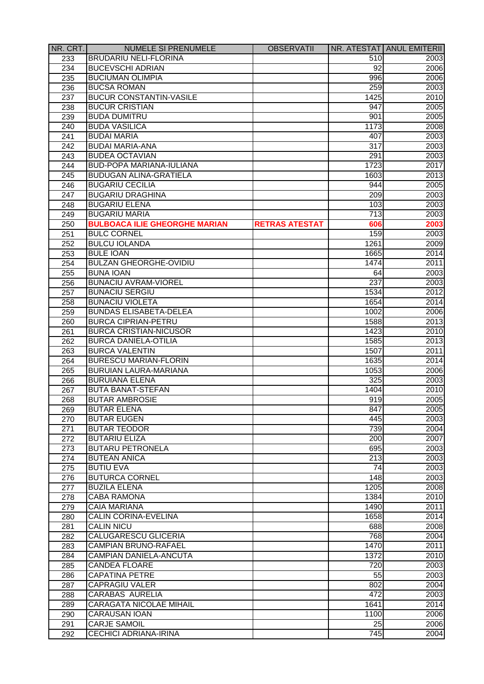| NR. CRT. | <b>NUMELE SI PRENUMELE</b>                            | <b>OBSERVATII</b>     |                  | NR. ATESTAT ANUL EMITERII |
|----------|-------------------------------------------------------|-----------------------|------------------|---------------------------|
| 233      | <b>BRUDARIU NELI-FLORINA</b>                          |                       | 510              | 2003                      |
| 234      | <b>BUCEVSCHI ADRIAN</b>                               |                       | 92               | 2006                      |
| 235      | <b>BUCIUMAN OLIMPIA</b>                               |                       | 996              | 2006                      |
| 236      | <b>BUCSA ROMAN</b>                                    |                       | 259              | 2003                      |
| 237      | <b>BUCUR CONSTANTIN-VASILE</b>                        |                       | 1425             | 2010                      |
| 238      | <b>BUCUR CRISTIAN</b>                                 |                       | 947              | 2005                      |
| 239      | <b>BUDA DUMITRU</b>                                   |                       | 901              | 2005                      |
| 240      | <b>BUDA VASILICA</b>                                  |                       | 1173             | 2008                      |
| 241      | <b>BUDAI MARIA</b>                                    |                       | 407              | 2003                      |
| 242      | <b>BUDAI MARIA-ANA</b>                                |                       | 317              | 2003                      |
| 243      | <b>BUDEA OCTAVIAN</b>                                 |                       | 291              | 2003                      |
| 244      | <b>BUD-POPA MARIANA-IULIANA</b>                       |                       | 1723             | 2017                      |
| 245      | <b>BUDUGAN ALINA-GRATIELA</b>                         |                       | 1603             | 2013                      |
| 246      | <b>BUGARIU CECILIA</b>                                |                       | 944              | 2005                      |
| 247      | <b>BUGARIU DRAGHINA</b>                               |                       | 209              | 2003                      |
| 248      | <b>BUGARIU ELENA</b>                                  |                       | 103              | 2003                      |
| 249      | <b>BUGARIU MARIA</b>                                  |                       | 713              | 2003                      |
| 250      | <b>BULBOACA ILIE GHEORGHE MARIAN</b>                  | <b>RETRAS ATESTAT</b> | 606              | 2003                      |
| 251      | <b>BULC CORNEL</b>                                    |                       | 159              | 2003                      |
| 252      | <b>BULCU IOLANDA</b>                                  |                       | 1261             | 2009                      |
| 253      | <b>BULE IOAN</b>                                      |                       | 1665             | 2014                      |
| 254      | <b>BULZAN GHEORGHE-OVIDIU</b>                         |                       | 1474             | 2011                      |
| 255      | <b>BUNA IOAN</b>                                      |                       | 64               | 2003                      |
| 256      | <b>BUNACIU AVRAM-VIOREL</b>                           |                       | 237              | 2003                      |
| 257      | <b>BUNACIU SERGIU</b>                                 |                       | 1534             | 2012                      |
| 258      | <b>BUNACIU VIOLETA</b>                                |                       | 1654             | 2014                      |
| 259      | <b>BUNDAS ELISABETA-DELEA</b>                         |                       | 1002             | 2006                      |
|          | <b>BURCA CIPRIAN-PETRU</b>                            |                       |                  | 2013                      |
| 260      | <b>BURCA CRISTIAN-NICUSOR</b>                         |                       | 1588<br>1423     | 2010                      |
| 261      | <b>BURCA DANIELA-OTILIA</b>                           |                       | 1585             |                           |
| 262      |                                                       |                       |                  | 2013                      |
| 263      | <b>BURCA VALENTIN</b><br><b>BURESCU MARIAN-FLORIN</b> |                       | 1507             | 2011                      |
| 264      |                                                       |                       | 1635             | 2014                      |
| 265      | BURUIAN LAURA-MARIANA                                 |                       | 1053             | 2006                      |
| 266      | <b>BURUIANA ELENA</b>                                 |                       | 325              | 2003                      |
| 267      | <b>BUTA BANAT-STEFAN</b>                              |                       | 1404             | 2010                      |
| 268      | <b>BUTAR AMBROSIE</b>                                 |                       | 919              | 2005                      |
| 269      | <b>BUTAR ELENA</b>                                    |                       | 847              | 2005                      |
| 270      | <b>BUTAR EUGEN</b>                                    |                       | 445              | 2003                      |
| 271      | <b>BUTAR TEODOR</b>                                   |                       | 739              | 2004                      |
| 272      | <b>BUTARIU ELIZA</b>                                  |                       | 200              | 2007                      |
| 273      | <b>BUTARU PETRONELA</b>                               |                       | 695              | 2003                      |
| 274      | <b>BUTEAN ANICA</b>                                   |                       | $\overline{213}$ | 2003                      |
| 275      | <b>BUTIU EVA</b>                                      |                       | $\overline{74}$  | 2003                      |
| 276      | <b>BUTURCA CORNEL</b>                                 |                       | 148              | 2003                      |
| 277      | <b>BUZILA ELENA</b>                                   |                       | 1205             | 2008                      |
| 278      | <b>CABA RAMONA</b>                                    |                       | 1384             | 2010                      |
| 279      | <b>CAIA MARIANA</b>                                   |                       | 1490             | 2011                      |
| 280      | <b>CALIN CORINA-EVELINA</b>                           |                       | 1658             | 2014                      |
| 281      | <b>CALIN NICU</b>                                     |                       | 688              | 2008                      |
| 282      | <b>CALUGARESCU GLICERIA</b>                           |                       | 768              | 2004                      |
| 283      | <b>CAMPIAN BRUNO-RAFAEL</b>                           |                       | 1470             | 2011                      |
| 284      | <b>CAMPIAN DANIELA-ANCUTA</b>                         |                       | 1372             | 2010                      |
| 285      | <b>CANDEA FLOARE</b>                                  |                       | 720              | 2003                      |
| 286      | <b>CAPATINA PETRE</b>                                 |                       | 55               | 2003                      |
| 287      | <b>CAPRAGIU VALER</b>                                 |                       | 802              | 2004                      |
| 288      | <b>CARABAS AURELIA</b>                                |                       | 472              | 2003                      |
| 289      | <b>CARAGATA NICOLAE MIHAIL</b>                        |                       | 1641             | 2014                      |
| 290      | <b>CARAUSAN IOAN</b>                                  |                       | 1100             | 2006                      |
| 291      | <b>CARJE SAMOIL</b>                                   |                       | 25               | 2006                      |
| 292      | <b>CECHICI ADRIANA-IRINA</b>                          |                       | 745              | 2004                      |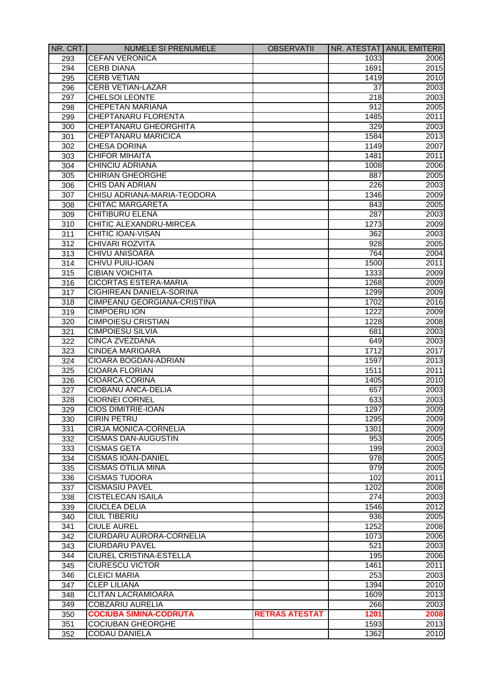| NR. CRT.         | <b>NUMELE SI PRENUMELE</b>     | <b>OBSERVATII</b>     |                  | NR. ATESTAT ANUL EMITERII |
|------------------|--------------------------------|-----------------------|------------------|---------------------------|
| 293              | <b>CEFAN VERONICA</b>          |                       | 1033             | 2006                      |
| 294              | <b>CERB DIANA</b>              |                       | 1691             | 2015                      |
| 295              | <b>CERB VETIAN</b>             |                       | 1419             | 2010                      |
| 296              | <b>CERB VETIAN-LAZAR</b>       |                       | 37               | 2003                      |
| 297              | <b>CHELSOI LEONTE</b>          |                       | 218              | 2003                      |
| 298              | <b>CHEPETAN MARIANA</b>        |                       | 912              | 2005                      |
| 299              | <b>CHEPTANARU FLORENTA</b>     |                       | 1485             | 2011                      |
| 300              | CHEPTANARU GHEORGHITA          |                       | 329              | 2003                      |
| 301              | <b>CHEPTANARU MARICICA</b>     |                       | 1584             | 2013                      |
| 302              | <b>CHESA DORINA</b>            |                       | 1149             | 2007                      |
| 303              | <b>CHIFOR MIHAITA</b>          |                       | 1481             | 2011                      |
| 304              | <b>CHINCIU ADRIANA</b>         |                       | 1008             | 2006                      |
| 305              | <b>CHIRIAN GHEORGHE</b>        |                       | 887              | 2005                      |
| 306              | <b>CHIS DAN ADRIAN</b>         |                       | 226              | 2003                      |
| 307              | CHISU ADRIANA-MARIA-TEODORA    |                       | 1346             | 2009                      |
| 308              | <b>CHITAC MARGARETA</b>        |                       | 843              | 2005                      |
| 309              | <b>CHITIBURU ELENA</b>         |                       | 287              | 2003                      |
| 310              | CHITIC ALEXANDRU-MIRCEA        |                       | 1273             | 2009                      |
|                  | <b>CHITIC IOAN-VISAN</b>       |                       |                  |                           |
| 311              |                                |                       | 362              | 2003                      |
| 312              | <b>CHIVARI ROZVITA</b>         |                       | 928              | 2005                      |
| 313              | <b>CHIVU ANISOARA</b>          |                       | 764              | 2004                      |
| 314              | CHIVU PUIU-IOAN                |                       | 1500             | 2011                      |
| 315              | <b>CIBIAN VOICHITA</b>         |                       | 1333             | 2009                      |
| 316              | <b>CICORTAS ESTERA-MARIA</b>   |                       | 1268             | 2009                      |
| 317              | CIGHIREAN DANIELA-SORINA       |                       | 1299             | 2009                      |
| 318              | CIMPEANU GEORGIANA-CRISTINA    |                       | 1702             | 2016                      |
| 319              | <b>CIMPOERU ION</b>            |                       | 1222             | 2009                      |
| 320              | <b>CIMPOIESU CRISTIAN</b>      |                       | 1228             | 2008                      |
| 321              | <b>CIMPOIESU SILVIA</b>        |                       | 681              | 2003                      |
| 322              | <b>CINCA ZVEZDANA</b>          |                       | 649              | 2003                      |
| 323              | <b>CINDEA MARIOARA</b>         |                       | 1712             | 2017                      |
| 324              | <b>CIOARA BOGDAN-ADRIAN</b>    |                       | 1597             | 2013                      |
| 325              | <b>CIOARA FLORIAN</b>          |                       | 1511             | 2011                      |
| 326              | <b>CIOARCA CORINA</b>          |                       | 1405             | 2010                      |
| 327              | CIOBANU ANCA-DELIA             |                       | 657              | 2003                      |
| 328              | <b>CIORNEI CORNEL</b>          |                       | 633              | 2003                      |
| 329              | <b>CIOS DIMITRIE-IOAN</b>      |                       | 1297             | 2009                      |
| 330              | <b>CIRIN PETRU</b>             |                       | 1295             | 2009                      |
| 331              | <b>CIRJA MONICA-CORNELIA</b>   |                       | 1301             | 2009                      |
| 332              | <b>CISMAS DAN-AUGUSTIN</b>     |                       | 953              | 2005                      |
| 333              | <b>CISMAS GETA</b>             |                       | 199              | 2003                      |
| 334              | <b>CISMAS IOAN-DANIEL</b>      |                       | $\overline{978}$ | 2005                      |
| 335              | <b>CISMAS OTILIA MINA</b>      |                       | 979              | 2005                      |
| 336              | <b>CISMAS TUDORA</b>           |                       | 102              | 2011                      |
| 337              | <b>CISMASIU PAVEL</b>          |                       | 1202             | 2008                      |
| 338              | <b>CISTELECAN ISAILA</b>       |                       | 274              | 2003                      |
| 339              | <b>CIUCLEA DELIA</b>           |                       | 1546             | 2012                      |
| 340              | <b>CIUL TIBERIU</b>            |                       | 936              | 2005                      |
| 341              | <b>CIULE AUREL</b>             |                       | 1252             | 2008                      |
| 342              | CIURDARU AURORA-CORNELIA       |                       | 1073             | 2006                      |
| 343              | <b>CIURDARU PAVEL</b>          |                       | 521              | 2003                      |
| 344              | <b>CIUREL CRISTINA-ESTELLA</b> |                       | 195              | 2006                      |
| 345              | <b>CIURESCU VICTOR</b>         |                       | 1461             | 2011                      |
| 346              | <b>CLEICI MARIA</b>            |                       | 253              | 2003                      |
| $\overline{347}$ | <b>CLEP LILIANA</b>            |                       | 1394             | 2010                      |
|                  | <b>CLITAN LACRAMIOARA</b>      |                       | 1609             | 2013                      |
| 348              |                                |                       |                  |                           |
| 349              | <b>COBZARIU AURELIA</b>        |                       | 266              | 2003                      |
| 350              | <b>COCIUBA SIMINA-CODRUTA</b>  | <b>RETRAS ATESTAT</b> | 1201             | 2008                      |
| 351              | <b>COCIUBAN GHEORGHE</b>       |                       | 1593             | 2013                      |
| 352              | <b>CODAU DANIELA</b>           |                       | 1362             | 2010                      |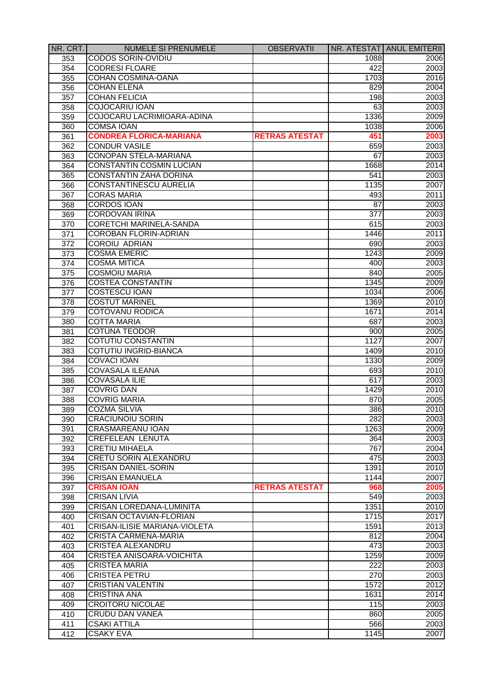| NR. CRT.        | <b>NUMELE SI PRENUMELE</b>           | <b>OBSERVATII</b>     |      | NR. ATESTAT ANUL EMITERII |
|-----------------|--------------------------------------|-----------------------|------|---------------------------|
| 353             | <b>CODOS SORIN-OVIDIU</b>            |                       | 1088 | 2006                      |
| 354             | <b>CODRESI FLOARE</b>                |                       | 422  | 2003                      |
| 355             | <b>COHAN COSMINA-OANA</b>            |                       | 1703 | 2016                      |
| 356             | <b>COHAN ELENA</b>                   |                       | 829  | 2004                      |
| 357             | <b>COHAN FELICIA</b>                 |                       | 198  | 2003                      |
| 358             | COJOCARIU IOAN                       |                       | 63   | 2003                      |
| 359             | COJOCARU LACRIMIOARA-ADINA           |                       | 1336 | 2009                      |
| 360             | <b>COMSA IOAN</b>                    |                       | 1038 | 2006                      |
| 361             | <b>CONDREA FLORICA-MARIANA</b>       | <b>RETRAS ATESTAT</b> | 451  | 2003                      |
| 362             | <b>CONDUR VASILE</b>                 |                       | 659  | 2003                      |
| 363             | CONOPAN STELA-MARIANA                |                       | 67   | 2003                      |
| 364             | <b>CONSTANTIN COSMIN LUCIAN</b>      |                       | 1668 | 2014                      |
| 365             | <b>CONSTANTIN ZAHA DORINA</b>        |                       | 541  | 2003                      |
| 366             | <b>CONSTANTINESCU AURELIA</b>        |                       | 1135 | 2007                      |
| 367             | <b>CORAS MARIA</b>                   |                       | 493  | 2011                      |
| 368             | <b>CORDOS IOAN</b>                   |                       | 87   | 2003                      |
| 369             | <b>CORDOVAN IRINA</b>                |                       | 377  | 2003                      |
| 370             | <b>CORETCHI MARINELA-SANDA</b>       |                       | 615  | 2003                      |
| 371             | <b>COROBAN FLORIN-ADRIAN</b>         |                       | 1446 | 2011                      |
| 372             | <b>COROIU ADRIAN</b>                 |                       | 690  | 2003                      |
| 373             | <b>COSMA EMERIC</b>                  |                       | 1243 | 2009                      |
| 374             | <b>COSMA MITICA</b>                  |                       | 400  | 2003                      |
| 375             | <b>COSMOIU MARIA</b>                 |                       | 840  | 2005                      |
| 376             | <b>COSTEA CONSTANTIN</b>             |                       | 1345 | 2009                      |
| 377             | <b>COSTESCU IOAN</b>                 |                       | 1034 | 2006                      |
| 378             | <b>COSTUT MARINEL</b>                |                       | 1369 | 2010                      |
| 379             | COTOVANU RODICA                      |                       | 1671 | 2014                      |
| 380             | <b>COTTA MARIA</b>                   |                       | 687  | 2003                      |
| 381             | <b>COTUNA TEODOR</b>                 |                       | 900  | 2005                      |
| 382             | COTUTIU CONSTANTIN                   |                       | 1127 | 2007                      |
| 383             | COTUTIU INGRID-BIANCA                |                       | 1409 | 2010                      |
| 384             | <b>COVACI IOAN</b>                   |                       | 1330 | 2009                      |
| 385             | <b>COVASALA ILEANA</b>               |                       | 693  | 2010                      |
| 386             | <b>COVASALA ILIE</b>                 |                       | 617  | 2003                      |
| 387             | <b>COVRIG DAN</b>                    |                       | 1429 | 2010                      |
| 388             | <b>COVRIG MARIA</b>                  |                       | 870  | 2005                      |
|                 | <b>COZMA SILVIA</b>                  |                       | 386  |                           |
| 389             | <b>CRACIUNOIU SORIN</b>              |                       | 282  | 2010<br>2003              |
| 390             | CRASMAREANU IOAN                     |                       | 1263 |                           |
| 391             | <b>CREFELEAN LENUTA</b>              |                       | 364  | 2009<br>2003              |
| 392             | <b>CRETIU MIHAELA</b>                |                       | 767  |                           |
| 393             |                                      |                       |      | 2004                      |
| 394             | CRETU SORIN ALEXANDRU                |                       | 475  | 2003                      |
| 395             | <b>CRISAN DANIEL-SORIN</b>           |                       | 1391 | 2010                      |
| 396             | <b>CRISAN EMANUELA</b>               |                       | 1144 | 2007                      |
| 397             | <b>CRISAN IOAN</b>                   | <b>RETRAS ATESTAT</b> | 968  | 2005                      |
| 398             | <b>CRISAN LIVIA</b>                  |                       | 549  | 2003                      |
| 399             | <b>CRISAN LOREDANA-LUMINITA</b>      |                       | 1351 | 2010                      |
| 400             | <b>CRISAN OCTAVIAN-FLORIAN</b>       |                       | 1715 | 2017                      |
| 401             | <b>CRISAN-ILISIE MARIANA-VIOLETA</b> |                       | 1591 | 2013                      |
| 402             | <b>CRISTA CARMENA-MARIA</b>          |                       | 812  | 2004                      |
| 403             | <b>CRISTEA ALEXANDRU</b>             |                       | 473  | 2003                      |
| 404             | <b>CRISTEA ANISOARA-VOICHITA</b>     |                       | 1259 | 2009                      |
| 405             | <b>CRISTEA MARIA</b>                 |                       | 222  | 2003                      |
| 40 <sub>6</sub> | <b>CRISTEA PETRU</b>                 |                       | 270  | 2003                      |
| 407             | <b>CRISTIAN VALENTIN</b>             |                       | 1572 | 2012                      |
| 408             | <b>CRISTINA ANA</b>                  |                       | 1631 | 2014                      |
| 409             | <b>CROITORU NICOLAE</b>              |                       | 115  | 2003                      |
| 410             | <b>CRUDU DAN VANEA</b>               |                       | 860  | 2005                      |
| 411             | <b>CSAKI ATTILA</b>                  |                       | 566  | 2003                      |
| 412             | <b>CSAKY EVA</b>                     |                       | 1145 | 2007                      |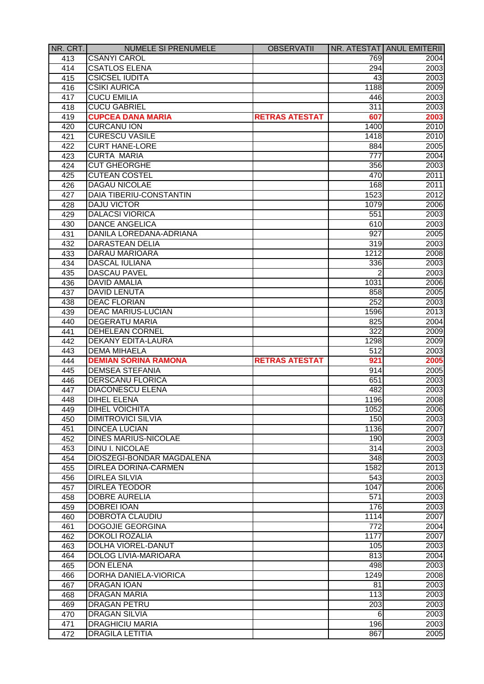| NR. CRT. | <b>NUMELE SI PRENUMELE</b>     | <b>OBSERVATII</b>     |                  | NR. ATESTAT ANUL EMITERII |
|----------|--------------------------------|-----------------------|------------------|---------------------------|
| 413      | <b>CSANYI CAROL</b>            |                       | 769              | 2004                      |
| 414      | <b>CSATLOS ELENA</b>           |                       | 294              | 2003                      |
| 415      | <b>CSICSEL IUDITA</b>          |                       | 43               | 2003                      |
| 416      | <b>CSIKI AURICA</b>            |                       | 1188             | 2009                      |
| 417      | <b>CUCU EMILIA</b>             |                       | 446              | 2003                      |
| 418      | <b>CUCU GABRIEL</b>            |                       | 311              | 2003                      |
| 419      | <b>CUPCEA DANA MARIA</b>       | <b>RETRAS ATESTAT</b> | 607              | 2003                      |
| 420      | <b>CURCANU ION</b>             |                       | 1400             | 2010                      |
| 421      | <b>CURESCU VASILE</b>          |                       | 1418             | 2010                      |
| 422      | <b>CURT HANE-LORE</b>          |                       | 884              | 2005                      |
| 423      | <b>CURTA MARIA</b>             |                       | $\overline{777}$ | 2004                      |
| 424      | <b>CUT GHEORGHE</b>            |                       | 356              | 2003                      |
| 425      | <b>CUTEAN COSTEL</b>           |                       | 470              | 2011                      |
| 426      | <b>DAGAU NICOLAE</b>           |                       | 168              | 2011                      |
| 427      | <b>DAIA TIBERIU-CONSTANTIN</b> |                       | 1523             | 2012                      |
| 428      | <b>DAJU VICTOR</b>             |                       | 1079             | 2006                      |
| 429      | <b>DALACSI VIORICA</b>         |                       | 551              | 2003                      |
| 430      | <b>DANCE ANGELICA</b>          |                       | 610              | 2003                      |
| 431      | DANILA LOREDANA-ADRIANA        |                       | 927              | 2005                      |
| 432      | <b>DARASTEAN DELIA</b>         |                       | 319              | 2003                      |
| 433      | DARAU MARIOARA                 |                       | 1212             | 2008                      |
| 434      | DASCAL IULIANA                 |                       | 336              | 2003                      |
| 435      | <b>DASCAU PAVEL</b>            |                       | 2                | 2003                      |
| 436      | <b>DAVID AMALIA</b>            |                       | 1031             | 2006                      |
| 437      | <b>DAVID LENUTA</b>            |                       | 858              | 2005                      |
|          | <b>DEAC FLORIAN</b>            |                       | 252              | 2003                      |
| 438      | <b>DEAC MARIUS-LUCIAN</b>      |                       |                  |                           |
| 439      |                                |                       | 1596             | 2013                      |
| 440      | <b>DEGERATU MARIA</b>          |                       | 825              | 2004                      |
| 441      | DEHELEAN CORNEL                |                       | 322              | 2009                      |
| 442      | DEKANY EDITA-LAURA             |                       | 1298             | 2009                      |
| 443      | <b>DEMA MIHAELA</b>            |                       | 512              | 2003                      |
| 444      | <b>DEMIAN SORINA RAMONA</b>    | <b>RETRAS ATESTAT</b> | 921              | 2005                      |
| 445      | <b>DEMSEA STEFANIA</b>         |                       | 914              | 2005                      |
| 446      | <b>DERSCANU FLORICA</b>        |                       | 651              | 2003                      |
| 447      | <b>DIACONESCU ELENA</b>        |                       | 482              | 2003                      |
| 448      | <b>DIHEL ELENA</b>             |                       | 1196             | 2008                      |
| 449      | <b>DIHEL VOICHITA</b>          |                       | 1052             | 2006                      |
| 450      | <b>DIMITROVICI SILVIA</b>      |                       | 150              | 2003                      |
| 451      | <b>DINCEA LUCIAN</b>           |                       | 1136             | 2007                      |
| 452      | <b>DINES MARIUS-NICOLAE</b>    |                       | 190              | 2003                      |
| 453      | <b>DINU I. NICOLAE</b>         |                       | 314              | 2003                      |
| 454      | DIOSZEGI-BONDAR MAGDALENA      |                       | 348              | 2003                      |
| 455      | <b>DIRLEA DORINA-CARMEN</b>    |                       | 1582             | 2013                      |
| 456      | <b>DIRLEA SILVIA</b>           |                       | 543              | 2003                      |
| 457      | <b>DIRLEA TEODOR</b>           |                       | 1047             | 2006                      |
| 458      | <b>DOBRE AURELIA</b>           |                       | 571              | 2003                      |
| 459      | <b>DOBREI IOAN</b>             |                       | 176              | 2003                      |
| 460      | <b>DOBROTA CLAUDIU</b>         |                       | 1114             | 2007                      |
| 461      | <b>DOGOJIE GEORGINA</b>        |                       | 772              | 2004                      |
| 462      | <b>DOKOLI ROZALIA</b>          |                       | 1177             | 2007                      |
| 463      | <b>DOLHA VIOREL-DANUT</b>      |                       | 105              | 2003                      |
| 464      | <b>DOLOG LIVIA-MARIOARA</b>    |                       | 813              | 2004                      |
| 465      | <b>DON ELENA</b>               |                       | 498              | 2003                      |
| 466      | <b>DORHA DANIELA-VIORICA</b>   |                       | 1249             | 2008                      |
| 467      | <b>DRAGAN IOAN</b>             |                       | 81               | 2003                      |
| 468      | <b>DRAGAN MARIA</b>            |                       | $\overline{113}$ | 2003                      |
| 469      | <b>DRAGAN PETRU</b>            |                       | $\overline{203}$ | 2003                      |
| 470      | <b>DRAGAN SILVIA</b>           |                       | 6                | 2003                      |
| 471      | <b>DRAGHICIU MARIA</b>         |                       | 196              | 2003                      |
| 472      | <b>DRAGILA LETITIA</b>         |                       | 867              | 2005                      |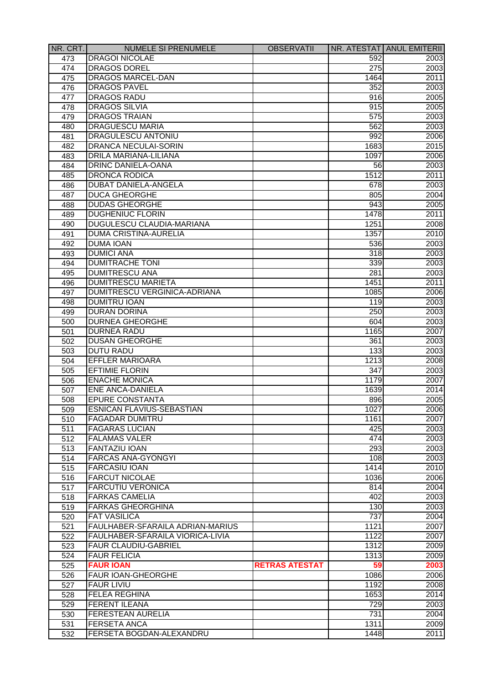| NR. CRT. | <b>NUMELE SI PRENUMELE</b>       | <b>OBSERVATII</b>     |      | NR. ATESTAT ANUL EMITERII |
|----------|----------------------------------|-----------------------|------|---------------------------|
| 473      | <b>DRAGOI NICOLAE</b>            |                       | 592  | 2003                      |
| 474      | <b>DRAGOS DOREL</b>              |                       | 275  | 2003                      |
| 475      | DRAGOS MARCEL-DAN                |                       | 1464 | 2011                      |
| 476      | <b>DRAGOS PAVEL</b>              |                       | 352  | 2003                      |
| 477      | <b>DRAGOS RADU</b>               |                       | 916  | 2005                      |
| 478      | <b>DRAGOS SILVIA</b>             |                       | 915  | 2005                      |
| 479      | <b>DRAGOS TRAIAN</b>             |                       | 575  | 2003                      |
| 480      | <b>DRAGUESCU MARIA</b>           |                       | 562  | 2003                      |
| 481      | <b>DRAGULESCU ANTONIU</b>        |                       | 992  | 2006                      |
| 482      | <b>DRANCA NECULAI-SORIN</b>      |                       | 1683 | 2015                      |
| 483      | DRILA MARIANA-LILIANA            |                       | 1097 | 2006                      |
| 484      | DRINC DANIELA-OANA               |                       | 56   | 2003                      |
| 485      | <b>DRONCA RODICA</b>             |                       | 1512 | 2011                      |
| 486      | DUBAT DANIELA-ANGELA             |                       | 678  | 2003                      |
| 487      | <b>DUCA GHEORGHE</b>             |                       | 805  | 2004                      |
| 488      | <b>DUDAS GHEORGHE</b>            |                       | 943  | 2005                      |
| 489      | <b>DUGHENIUC FLORIN</b>          |                       | 1478 | 2011                      |
|          | <b>DUGULESCU CLAUDIA-MARIANA</b> |                       | 1251 |                           |
| 490      |                                  |                       |      | 2008                      |
| 491      | <b>DUMA CRISTINA-AURELIA</b>     |                       | 1357 | 2010                      |
| 492      | <b>DUMA IOAN</b>                 |                       | 536  | 2003                      |
| 493      | <b>DUMICI ANA</b>                |                       | 318  | 2003                      |
| 494      | <b>DUMITRACHE TONI</b>           |                       | 339  | 2003                      |
| 495      | <b>DUMITRESCU ANA</b>            |                       | 281  | 2003                      |
| 496      | <b>DUMITRESCU MARIETA</b>        |                       | 1451 | 2011                      |
| 497      | DUMITRESCU VERGINICA-ADRIANA     |                       | 1085 | 2006                      |
| 498      | <b>DUMITRU IOAN</b>              |                       | 119  | 2003                      |
| 499      | <b>DURAN DORINA</b>              |                       | 250  | 2003                      |
| 500      | <b>DURNEA GHEORGHE</b>           |                       | 604  | 2003                      |
| 501      | <b>DURNEA RADU</b>               |                       | 1165 | 2007                      |
| 502      | <b>DUSAN GHEORGHE</b>            |                       | 361  | 2003                      |
| 503      | <b>DUTU RADU</b>                 |                       | 133  | 2003                      |
| 504      | <b>EFFLER MARIOARA</b>           |                       | 1213 | 2008                      |
| 505      | <b>EFTIMIE FLORIN</b>            |                       | 347  | 2003                      |
| 506      | <b>ENACHE MONICA</b>             |                       | 1179 | 2007                      |
| 507      | <b>ENE ANCA-DANIELA</b>          |                       | 1639 | 2014                      |
| 508      | <b>EPURE CONSTANTA</b>           |                       | 896  | 2005                      |
| 509      | <b>ESNICAN FLAVIUS-SEBASTIAN</b> |                       | 1027 | 2006                      |
| 510      | <b>FAGADAR DUMITRU</b>           |                       | 1161 | 2007                      |
| 511      | <b>FAGARAS LUCIAN</b>            |                       | 425  | 2003                      |
| 512      | <b>FALAMAS VALER</b>             |                       | 474  | 2003                      |
| 513      | <b>FANTAZIU IOAN</b>             |                       | 293  | 2003                      |
| 514      | <b>FARCAS ANA-GYONGYI</b>        |                       | 108  | 2003                      |
| 515      | <b>FARCASIU IOAN</b>             |                       | 1414 | 2010                      |
| 516      | <b>FARCUT NICOLAE</b>            |                       | 1036 | 2006                      |
| 517      | <b>FARCUTIU VERONICA</b>         |                       | 814  | 2004                      |
|          | <b>FARKAS CAMELIA</b>            |                       | 402  | 2003                      |
| 518      | <b>FARKAS GHEORGHINA</b>         |                       |      |                           |
| 519      |                                  |                       | 130  | 2003                      |
| 520      | <b>FAT VASILICA</b>              |                       | 737  | 2004                      |
| 521      | FAULHABER-SFARAILA ADRIAN-MARIUS |                       | 1121 | 2007                      |
| 522      | FAULHABER-SFARAILA VIORICA-LIVIA |                       | 1122 | 2007                      |
| 523      | <b>FAUR CLAUDIU-GABRIEL</b>      |                       | 1312 | 2009                      |
| 524      | <b>FAUR FELICIA</b>              |                       | 1313 | 2009                      |
| 525      | <b>FAUR IOAN</b>                 | <b>RETRAS ATESTAT</b> | 59   | 2003                      |
| 526      | <b>FAUR IOAN-GHEORGHE</b>        |                       | 1086 | 2006                      |
| 527      | <b>FAUR LIVIU</b>                |                       | 1192 | 2008                      |
| 528      | <b>FELEA REGHINA</b>             |                       | 1653 | 2014                      |
| 529      | <b>FERENT ILEANA</b>             |                       | 729  | 2003                      |
| 530      | <b>FERESTEAN AURELIA</b>         |                       | 731  | 2004                      |
| 531      | <b>FERSETA ANCA</b>              |                       | 1311 | 2009                      |
| 532      | FERSETA BOGDAN-ALEXANDRU         |                       | 1448 | 2011                      |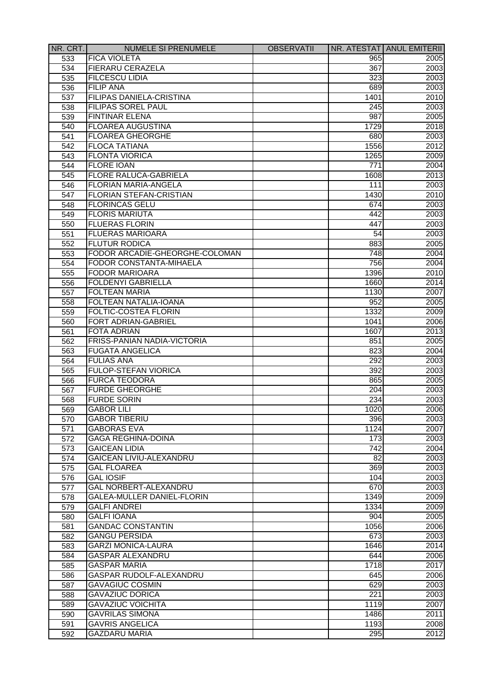| NR. CRT. | <b>NUMELE SI PRENUMELE</b>         | <b>OBSERVATII</b> |                  | NR. ATESTAT ANUL EMITERII |
|----------|------------------------------------|-------------------|------------------|---------------------------|
| 533      | <b>FICA VIOLETA</b>                |                   | 965              | 2005                      |
| 534      | <b>FIERARU CERAZELA</b>            |                   | 367              | 2003                      |
| 535      | <b>FILCESCU LIDIA</b>              |                   | 323              | 2003                      |
| 536      | <b>FILIP ANA</b>                   |                   | 689              | 2003                      |
| 537      | <b>FILIPAS DANIELA-CRISTINA</b>    |                   | 1401             | 2010                      |
| 538      | FILIPAS SOREL PAUL                 |                   | 245              | 2003                      |
| 539      | <b>FINTINAR ELENA</b>              |                   | 987              | 2005                      |
| 540      | <b>FLOAREA AUGUSTINA</b>           |                   | 1729             | 2018                      |
| 541      | <b>FLOAREA GHEORGHE</b>            |                   | 680              | 2003                      |
| 542      | <b>FLOCA TATIANA</b>               |                   | 1556             | 2012                      |
| 543      | <b>FLONTA VIORICA</b>              |                   | 1265             | 2009                      |
| 544      | <b>FLORE IOAN</b>                  |                   | 771              | 2004                      |
| 545      | FLORE RALUCA-GABRIELA              |                   | 1608             | 2013                      |
| 546      | FLORIAN MARIA-ANGELA               |                   | 111              | 2003                      |
| 547      | <b>FLORIAN STEFAN-CRISTIAN</b>     |                   | 1430             | 2010                      |
| 548      | <b>FLORINCAS GELU</b>              |                   | 674              | 2003                      |
| 549      | <b>FLORIS MARIUTA</b>              |                   | 442              | 2003                      |
| 550      | <b>FLUERAS FLORIN</b>              |                   | 447              | 2003                      |
| 551      | <b>FLUERAS MARIOARA</b>            |                   | 54               | 2003                      |
| 552      | <b>FLUTUR RODICA</b>               |                   | 883              | 2005                      |
| 553      | FODOR ARCADIE-GHEORGHE-COLOMAN     |                   | 748              | 2004                      |
| 554      | <b>FODOR CONSTANTA-MIHAELA</b>     |                   | 756              | 2004                      |
| 555      | <b>FODOR MARIOARA</b>              |                   | 1396             | 2010                      |
| 556      | <b>FOLDENYI GABRIELLA</b>          |                   | 1660             | 2014                      |
| 557      | <b>FOLTEAN MARIA</b>               |                   | 1130             | 2007                      |
| 558      | FOLTEAN NATALIA-IOANA              |                   | 952              | 2005                      |
| 559      | <b>FOLTIC-COSTEA FLORIN</b>        |                   | 1332             | 2009                      |
| 560      | FORT ADRIAN-GABRIEL                |                   | 1041             | 2006                      |
| 561      | <b>FOTA ADRIAN</b>                 |                   | 1607             | 2013                      |
| 562      | <b>FRISS-PANIAN NADIA-VICTORIA</b> |                   | 851              | 2005                      |
| 563      | <b>FUGATA ANGELICA</b>             |                   | 823              | 2004                      |
| 564      | <b>FULIAS ANA</b>                  |                   | 292              | 2003                      |
| 565      | FULOP-STEFAN VIORICA               |                   | 392              | 2003                      |
| 566      | <b>FURCA TEODORA</b>               |                   | 865              | 2005                      |
| 567      | <b>FURDE GHEORGHE</b>              |                   | 204              | 2003                      |
| 568      | <b>FURDE SORIN</b>                 |                   | 234              | 2003                      |
| 569      | <b>GABOR LILI</b>                  |                   | 1020             | 2006                      |
| 570      | <b>GABOR TIBERIU</b>               |                   | 396              | 2003                      |
| 571      | <b>GABORAS EVA</b>                 |                   | 1124             | 2007                      |
| 572      | <b>GAGA REGHINA-DOINA</b>          |                   | 173              | 2003                      |
| 573      | <b>GAICEAN LIDIA</b>               |                   | $\overline{742}$ | 2004                      |
| 574      | <b>GAICEAN LIVIU-ALEXANDRU</b>     |                   | $\overline{82}$  | 2003                      |
| 575      | <b>GAL FLOAREA</b>                 |                   | 369              | 2003                      |
| 576      | <b>GAL IOSIF</b>                   |                   | 104              | 2003                      |
| 577      | <b>GAL NORBERT-ALEXANDRU</b>       |                   | 670              | 2003                      |
| 578      | GALEA-MULLER DANIEL-FLORIN         |                   | 1349             | 2009                      |
| 579      | <b>GALFI ANDREI</b>                |                   | 1334             | 2009                      |
| 580      | <b>GALFI IOANA</b>                 |                   | 904              | 2005                      |
| 581      | <b>GANDAC CONSTANTIN</b>           |                   | 1056             | 2006                      |
| 582      | <b>GANGU PERSIDA</b>               |                   | 673              | 2003                      |
| 583      | <b>GARZI MONICA-LAURA</b>          |                   | 1646             | 2014                      |
| 584      | <b>GASPAR ALEXANDRU</b>            |                   | 644              | 2006                      |
| 585      | <b>GASPAR MARIA</b>                |                   | 1718             | 2017                      |
| 586      | <b>GASPAR RUDOLF-ALEXANDRU</b>     |                   | 645              | 2006                      |
| 587      | <b>GAVAGIUC COSMIN</b>             |                   | 629              | 2003                      |
| 588      | <b>GAVAZIUC DORICA</b>             |                   | 221              | 2003                      |
| 589      | <b>GAVAZIUC VOICHITA</b>           |                   | 1119             | 2007                      |
| 590      | <b>GAVRILAS SIMONA</b>             |                   | 1486             | 2011                      |
| 591      | <b>GAVRIS ANGELICA</b>             |                   | 1193             | 2008                      |
| 592      | <b>GAZDARU MARIA</b>               |                   | 295              | 2012                      |
|          |                                    |                   |                  |                           |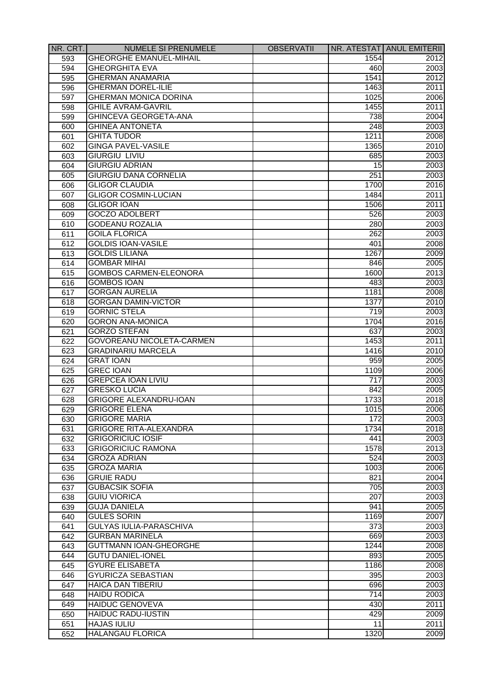| NR. CRT. | <b>NUMELE SI PRENUMELE</b>     | <b>OBSERVATII</b> |                 | NR. ATESTAT ANUL EMITERII |
|----------|--------------------------------|-------------------|-----------------|---------------------------|
| 593      | <b>GHEORGHE EMANUEL-MIHAIL</b> |                   | 1554            | 2012                      |
| 594      | <b>GHEORGHITA EVA</b>          |                   | 460             | 2003                      |
| 595      | <b>GHERMAN ANAMARIA</b>        |                   | 1541            | 2012                      |
| 596      | <b>GHERMAN DOREL-ILIE</b>      |                   | 1463            | 2011                      |
| 597      | <b>GHERMAN MONICA DORINA</b>   |                   | 1025            | 2006                      |
| 598      | <b>GHILE AVRAM-GAVRIL</b>      |                   | 1455            | 2011                      |
| 599      | GHINCEVA GEORGETA-ANA          |                   | 738             | 2004                      |
| 600      | <b>GHINEA ANTONETA</b>         |                   | 248             | 2003                      |
| 601      | <b>GHITA TUDOR</b>             |                   | 1211            | 2008                      |
| 602      | <b>GINGA PAVEL-VASILE</b>      |                   | 1365            | 2010                      |
| 603      | <b>GIURGIU LIVIU</b>           |                   | 685             | 2003                      |
| 604      | <b>GIURGIU ADRIAN</b>          |                   | 15              | 2003                      |
| 605      | <b>GIURGIU DANA CORNELIA</b>   |                   | 251             | 2003                      |
| 606      | <b>GLIGOR CLAUDIA</b>          |                   | 1700            | 2016                      |
| 607      | <b>GLIGOR COSMIN-LUCIAN</b>    |                   | 1484            | 2011                      |
| 608      | <b>GLIGOR IOAN</b>             |                   | 1506            | 2011                      |
| 609      | <b>GOCZO ADOLBERT</b>          |                   | 526             | 2003                      |
| 610      | <b>GODEANU ROZALIA</b>         |                   | 280             | 2003                      |
| 611      | <b>GOILA FLORICA</b>           |                   | 262             | 2003                      |
|          | <b>GOLDIS IOAN-VASILE</b>      |                   | 401             |                           |
| 612      | <b>GOLDIS LILIANA</b>          |                   | 1267            | 2008<br>2009              |
| 613      |                                |                   |                 |                           |
| 614      | <b>GOMBAR MIHAI</b>            |                   | 846             | 2005                      |
| 615      | <b>GOMBOS CARMEN-ELEONORA</b>  |                   | 1600            | 2013                      |
| 616      | <b>GOMBOS IOAN</b>             |                   | 483             | 2003                      |
| 617      | <b>GORGAN AURELIA</b>          |                   | 1181            | 2008                      |
| 618      | <b>GORGAN DAMIN-VICTOR</b>     |                   | 1377            | 2010                      |
| 619      | <b>GORNIC STELA</b>            |                   | 719             | 2003                      |
| 620      | <b>GORON ANA-MONICA</b>        |                   | 1704            | 2016                      |
| 621      | <b>GORZO STEFAN</b>            |                   | 637             | 2003                      |
| 622      | GOVOREANU NICOLETA-CARMEN      |                   | 1453            | 2011                      |
| 623      | <b>GRADINARIU MARCELA</b>      |                   | 1416            | 2010                      |
| 624      | <b>GRAT IOAN</b>               |                   | 959             | 2005                      |
| 625      | <b>GREC IOAN</b>               |                   | 1109            | 2006                      |
| 626      | <b>GREPCEA IOAN LIVIU</b>      |                   | 717             | 2003                      |
| 627      | <b>GRESKO LUCIA</b>            |                   | 842             | 2005                      |
| 628      | <b>GRIGORE ALEXANDRU-IOAN</b>  |                   | 1733            | 2018                      |
| 629      | <b>GRIGORE ELENA</b>           |                   | 1015            | 2006                      |
| 630      | <b>GRIGORE MARIA</b>           |                   | 172             | 2003                      |
| 631      | <b>GRIGORE RITA-ALEXANDRA</b>  |                   | 1734            | 2018                      |
| 632      | <b>GRIGORICIUC IOSIF</b>       |                   | 441             | 2003                      |
| 633      | <b>GRIGORICIUC RAMONA</b>      |                   | 1578            | 2013                      |
| 634      | <b>GROZA ADRIAN</b>            |                   | 524             | 2003                      |
| 635      | <b>GROZA MARIA</b>             |                   | 1003            | 2006                      |
| 636      | <b>GRUIE RADU</b>              |                   | 821             | 2004                      |
| 637      | <b>GUBACSIK SOFIA</b>          |                   | 705             | 2003                      |
| 638      | <b>GUIU VIORICA</b>            |                   | 207             | 2003                      |
| 639      | <b>GUJA DANIELA</b>            |                   | 941             | 2005                      |
| 640      | <b>GULES SORIN</b>             |                   | 1169            | 2007                      |
| 641      | <b>GULYAS IULIA-PARASCHIVA</b> |                   | 373             | 2003                      |
| 642      | <b>GURBAN MARINELA</b>         |                   | 669             | 2003                      |
| 643      | <b>GUTTMANN IOAN-GHEORGHE</b>  |                   | 1244            | 2008                      |
| 644      | <b>GUTU DANIEL-IONEL</b>       |                   | 893             | 2005                      |
| 645      | <b>GYURE ELISABETA</b>         |                   | 1186            | 2008                      |
| 646      | <b>GYURICZA SEBASTIAN</b>      |                   | 395             | 2003                      |
| 647      | <b>HAICA DAN TIBERIU</b>       |                   | 696             | 2003                      |
| 648      | <b>HAIDU RODICA</b>            |                   | 714             | 2003                      |
| 649      | <b>HAIDUC GENOVEVA</b>         |                   | 430             | 2011                      |
| 650      | <b>HAIDUC RADU-IUSTIN</b>      |                   | 429             | 2009                      |
| 651      | <b>HAJAS IULIU</b>             |                   | $\overline{11}$ | 2011                      |
| 652      | <b>HALANGAU FLORICA</b>        |                   | 1320            | 2009                      |
|          |                                |                   |                 |                           |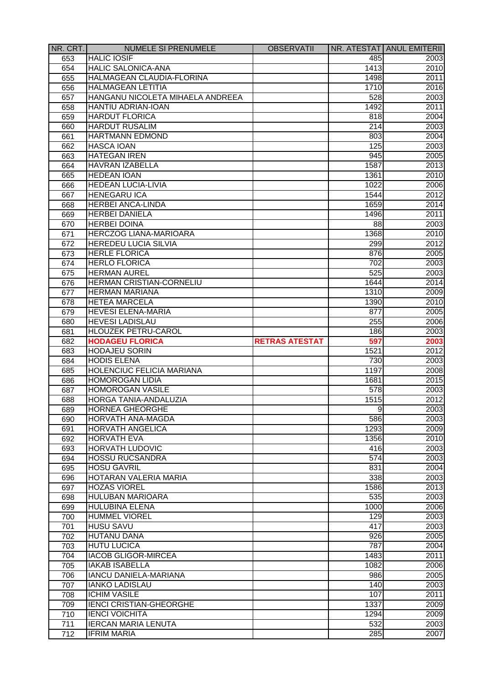| NR. CRT.         | <b>NUMELE SI PRENUMELE</b>                                 | <b>OBSERVATII</b>     |                  | NR. ATESTAT ANUL EMITERII |
|------------------|------------------------------------------------------------|-----------------------|------------------|---------------------------|
| 653              | <b>HALIC IOSIF</b>                                         |                       | 485              | 2003                      |
| 654              | <b>HALIC SALONICA-ANA</b>                                  |                       | 1413             | 2010                      |
| 655              | HALMAGEAN CLAUDIA-FLORINA                                  |                       | 1498             | 2011                      |
| 656              | <b>HALMAGEAN LETITIA</b>                                   |                       | 1710             | 2016                      |
| 657              | HANGANU NICOLETA MIHAELA ANDREEA                           |                       | 528              | 2003                      |
| 658              | HANTIU ADRIAN-IOAN                                         |                       | 1492             | 2011                      |
| 659              | <b>HARDUT FLORICA</b>                                      |                       | 818              | 2004                      |
| 660              | <b>HARDUT RUSALIM</b>                                      |                       | 214              | 2003                      |
| 661              | HARTMANN EDMOND                                            |                       | 803              | 2004                      |
| 662              | <b>HASCA IOAN</b>                                          |                       | 125              | 2003                      |
| 663              | <b>HATEGAN IREN</b>                                        |                       | 945              | 2005                      |
| 664              | <b>HAVRAN IZABELLA</b>                                     |                       | 1587             | 2013                      |
| 665              | <b>HEDEAN IOAN</b>                                         |                       | 1361             | 2010                      |
| 666              | <b>HEDEAN LUCIA-LIVIA</b>                                  |                       | 1022             | 2006                      |
| 667              | <b>HENEGARU ICA</b>                                        |                       | 1544             | 2012                      |
| 668              | <b>HERBEI ANCA-LINDA</b>                                   |                       | 1659             | 2014                      |
| 669              | <b>HERBEI DANIELA</b>                                      |                       | 1496             | 2011                      |
| 670              | <b>HERBEI DOINA</b>                                        |                       | 88               | 2003                      |
| 671              | <b>HERCZOG LIANA-MARIOARA</b>                              |                       | 1368             | 2010                      |
| 672              | <b>HEREDEU LUCIA SILVIA</b>                                |                       | 299              | 2012                      |
| 673              | <b>HERLE FLORICA</b>                                       |                       | 876              | 2005                      |
| 674              | <b>HERLO FLORICA</b>                                       |                       | 702              | 2003                      |
| 675              | <b>HERMAN AUREL</b>                                        |                       | 525              | 2003                      |
| 676              | <b>HERMAN CRISTIAN-CORNELIU</b>                            |                       | 1644             | 2014                      |
| 677              | <b>HERMAN MARIANA</b>                                      |                       | 1310             | 2009                      |
| 678              | <b>HETEA MARCELA</b>                                       |                       | 1390             | 2010                      |
| 679              | <b>HEVESI ELENA-MARIA</b>                                  |                       | 877              | 2005                      |
| 680              | <b>HEVESI LADISLAU</b>                                     |                       | 255              | 2006                      |
|                  | <b>HLOUZEK PETRU-CAROL</b>                                 |                       | 186              | 2003                      |
| 681              | <b>HODAGEU FLORICA</b>                                     |                       |                  |                           |
| 682              | <b>HODAJEU SORIN</b>                                       | <b>RETRAS ATESTAT</b> | 597<br>1521      | 2003<br>2012              |
| 683              | <b>HODIS ELENA</b>                                         |                       |                  |                           |
| 684              |                                                            |                       | 730              | 2003                      |
| 685              | <b>HOLENCIUC FELICIA MARIANA</b><br><b>HOMOROGAN LIDIA</b> |                       | 1197             | 2008                      |
| 686              | <b>HOMOROGAN VASILE</b>                                    |                       | 1681             | 2015                      |
| 687              |                                                            |                       | 578              | 2003                      |
| 688              | HORGA TANIA-ANDALUZIA                                      |                       | 1515             | 2012                      |
| 689              | <b>HORNEA GHEORGHE</b>                                     |                       | $\overline{9}$   | 2003                      |
| 690              | HORVATH ANA-MAGDA                                          |                       | 586              | 2003                      |
| 691              | <b>HORVATH ANGELICA</b>                                    |                       | 1293             | 2009                      |
| 692              | <b>HORVATH EVA</b>                                         |                       | 1356             | 2010                      |
| 693              | <b>HORVATH LUDOVIC</b>                                     |                       | 416              | 2003                      |
| 694              | <b>HOSSU RUCSANDRA</b>                                     |                       | $\overline{574}$ | 2003                      |
| 695              | <b>HOSU GAVRIL</b>                                         |                       | 831              | 2004                      |
| 696              | HOTARAN VALERIA MARIA                                      |                       | 338              | 2003                      |
| 697              | <b>HOZAS VIOREL</b>                                        |                       | 1586             | 2013                      |
| 698              | <b>HULUBAN MARIOARA</b>                                    |                       | 535              | 2003                      |
| 699              | <b>HULUBINA ELENA</b>                                      |                       | 1000             | 2006                      |
| 700              | <b>HUMMEL VIOREL</b>                                       |                       | 129              | 2003                      |
| 701              | <b>HUSU SAVU</b>                                           |                       | 417              | 2003                      |
| 702              | <b>HUTANU DANA</b>                                         |                       | 926              | 2005                      |
| 703              | <b>HUTU LUCICA</b>                                         |                       | 787              | 2004                      |
| 704              | <b>IACOB GLIGOR-MIRCEA</b>                                 |                       | 1483             | 2011                      |
| 705              | <b>IAKAB ISABELLA</b>                                      |                       | 1082             | 2006                      |
| 706              | <b>IANCU DANIELA-MARIANA</b>                               |                       | 986              | 2005                      |
| 707              | <b>IANKO LADISLAU</b>                                      |                       | 140              | 2003                      |
| 708              | <b>ICHIM VASILE</b>                                        |                       | 107              | 2011                      |
| 709              | <b>IENCI CRISTIAN-GHEORGHE</b>                             |                       | 1337             | 2009                      |
| 710              | <b>IENCI VOICHITA</b>                                      |                       | 1294             | 2009                      |
| 711              | <b>IERCAN MARIA LENUTA</b>                                 |                       | 532              | 2003                      |
| $\overline{712}$ | <b>IFRIM MARIA</b>                                         |                       | 285              | 2007                      |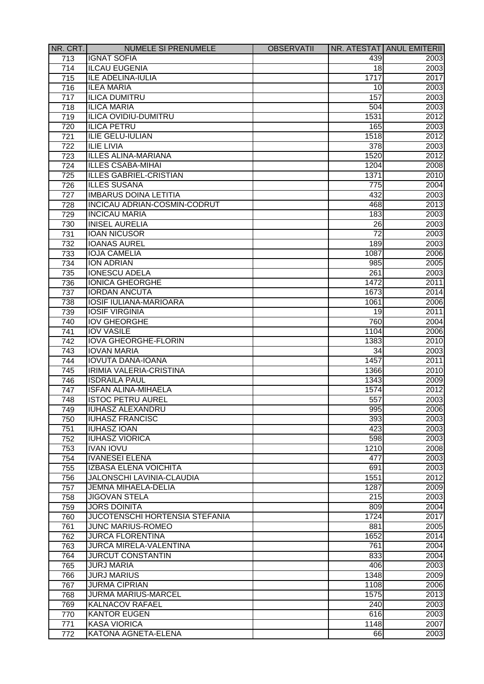| NR. CRT.         | <b>NUMELE SI PRENUMELE</b>                      | <b>OBSERVATII</b> |                 | NR. ATESTAT ANUL EMITERII |
|------------------|-------------------------------------------------|-------------------|-----------------|---------------------------|
| 713              | <b>IGNAT SOFIA</b>                              |                   | 439             | 2003                      |
| 714              | <b>ILCAU EUGENIA</b>                            |                   | 18              | 2003                      |
| 715              | <b>ILE ADELINA-IULIA</b>                        |                   | 1717            | 2017                      |
| 716              | <b>ILEA MARIA</b>                               |                   | 10              | 2003                      |
| 717              | <b>ILICA DUMITRU</b>                            |                   | 157             | 2003                      |
| 718              | <b>ILICA MARIA</b>                              |                   | 504             | 2003                      |
| 719              | <b>ILICA OVIDIU-DUMITRU</b>                     |                   | 1531            | 2012                      |
| 720              | <b>ILICA PETRU</b>                              |                   | 165             | 2003                      |
| 721              | <b>ILIE GELU-IULIAN</b>                         |                   | 1518            | 2012                      |
| 722              | <b>ILIE LIVIA</b>                               |                   | 378             | 2003                      |
| 723              | <b>ILLES ALINA-MARIANA</b>                      |                   | 1520            | 2012                      |
| 724              | <b>ILLES CSABA-MIHAI</b>                        |                   | 1204            | 2008                      |
| 725              | <b>ILLES GABRIEL-CRISTIAN</b>                   |                   | 1371            | 2010                      |
| 726              | <b>ILLES SUSANA</b>                             |                   | 775             | 2004                      |
| 727              | <b>IMBARUS DOINA LETITIA</b>                    |                   | 432             | 2003                      |
| 728              | INCICAU ADRIAN-COSMIN-CODRUT                    |                   | 468             | 2013                      |
| 729              | <b>INCICAU MARIA</b>                            |                   | 183             | 2003                      |
| 730              | <b>INISEL AURELIA</b>                           |                   | 26              | 2003                      |
| 731              | <b>IOAN NICUSOR</b>                             |                   | $\overline{72}$ | 2003                      |
| 732              | <b>IOANAS AUREL</b>                             |                   | 189             | 2003                      |
| 733              | <b>IOJA CAMELIA</b>                             |                   | 1087            | 2006                      |
| 734              | <b>ION ADRIAN</b>                               |                   | 985             | 2005                      |
| 735              | <b>IONESCU ADELA</b>                            |                   | 261             | 2003                      |
| 736              | <b>IONICA GHEORGHE</b>                          |                   | 1472            | 2011                      |
| 737              | <b>IORDAN ANCUTA</b>                            |                   | 1673            | 2014                      |
| 738              | <b>IOSIF IULIANA-MARIOARA</b>                   |                   | 1061            | 2006                      |
| 739              | <b>IOSIF VIRGINIA</b>                           |                   | 19              | 2011                      |
| 740              | <b>IOV GHEORGHE</b>                             |                   | 760             | 2004                      |
| 741              | <b>IOV VASILE</b>                               |                   | 1104            | 2006                      |
| 742              | <b>IOVA GHEORGHE-FLORIN</b>                     |                   | 1383            | 2010                      |
|                  | <b>IOVAN MARIA</b>                              |                   | 34              |                           |
| 743<br>744       | <b>IOVUTA DANA-IOANA</b>                        |                   | 1457            | 2003<br>2011              |
|                  |                                                 |                   |                 |                           |
| 745              | IRIMIA VALERIA-CRISTINA<br><b>ISDRAILA PAUL</b> |                   | 1366            | 2010                      |
| 746              | <b>ISFAN ALINA-MIHAELA</b>                      |                   | 1343            | 2009<br>2012              |
| 747              |                                                 |                   | 1574            |                           |
| 748              | <b>ISTOC PETRU AUREL</b>                        |                   | 557             | 2003                      |
| 749              | <b>IUHASZ ALEXANDRU</b>                         |                   | 995             | 2006                      |
| 750              | <b>IUHASZ FRANCISC</b>                          |                   | 393             | 2003                      |
| 751              | <b>IUHASZ IOAN</b>                              |                   | 423             | 2003                      |
| 752              | <b>IUHASZ VIORICA</b>                           |                   | 598             | 2003                      |
| 753              | <b>IVAN IOVU</b>                                |                   | 1210            | 2008                      |
| 754              | <b>IVANESEI ELENA</b>                           |                   | 477             | 2003                      |
| 755              | <b>IZBASA ELENA VOICHITA</b>                    |                   | 691             | 2003                      |
| 756              | <b>JALONSCHI LAVINIA-CLAUDIA</b>                |                   | 1551            | 2012                      |
| 757              | <b>JEMNA MIHAELA-DELIA</b>                      |                   | 1287            | 2009                      |
| 758              | <b>JIGOVAN STELA</b>                            |                   | 215             | 2003                      |
| 759              | <b>JORS DOINITA</b>                             |                   | 809             | 2004                      |
| 760              | <b>JUCOTENSCHI HORTENSIA STEFANIA</b>           |                   | 1724            | 2017                      |
| 761              | <b>JUNC MARIUS-ROMEO</b>                        |                   | 881             | 2005                      |
| 762              | <b>JURCA FLORENTINA</b>                         |                   | 1652            | 2014                      |
| 763              | <b>JURCA MIRELA-VALENTINA</b>                   |                   | 761             | 2004                      |
| 764              | <b>JURCUT CONSTANTIN</b>                        |                   | 833             | 2004                      |
| 765              | <b>JURJ MARIA</b>                               |                   | 406             | 2003                      |
| 766              | <b>JURJ MARIUS</b>                              |                   | 1348            | 2009                      |
| 767              | <b>JURMA CIPRIAN</b>                            |                   | 1108            | 2006                      |
| 768              | <b>JURMA MARIUS-MARCEL</b>                      |                   | 1575            | 2013                      |
| 769              | <b>KALNACOV RAFAEL</b>                          |                   | 240             | 2003                      |
| 770              | <b>KANTOR EUGEN</b>                             |                   | 616             | 2003                      |
| 771              | <b>KASA VIORICA</b>                             |                   | 1148            | 2007                      |
| $\overline{772}$ | <b>KATONA AGNETA-ELENA</b>                      |                   | 66              | 2003                      |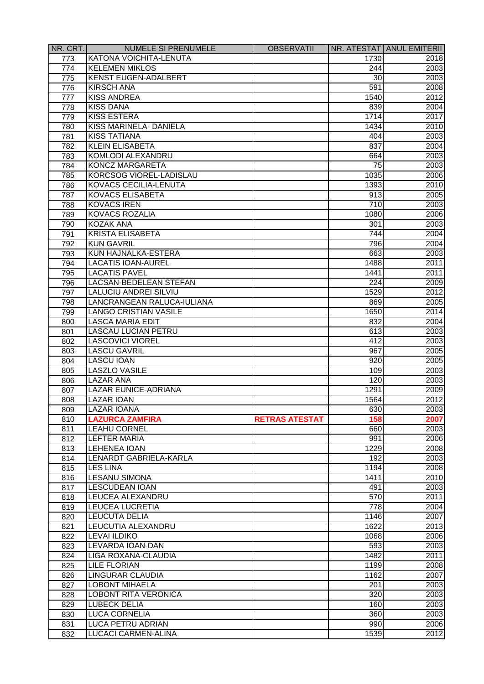| NR. CRT. | <b>NUMELE SI PRENUMELE</b>     | <b>OBSERVATII</b>     |      | NR. ATESTAT ANUL EMITERII |
|----------|--------------------------------|-----------------------|------|---------------------------|
| 773      | KATONA VOICHITA-LENUTA         |                       | 1730 | 2018                      |
| 774      | <b>KELEMEN MIKLOS</b>          |                       | 244  | 2003                      |
| 775      | <b>KENST EUGEN-ADALBERT</b>    |                       | 30   | 2003                      |
| 776      | <b>KIRSCH ANA</b>              |                       | 591  | 2008                      |
| 777      | <b>KISS ANDREA</b>             |                       | 1540 | 2012                      |
| 778      | <b>KISS DANA</b>               |                       | 839  | 2004                      |
| 779      | <b>KISS ESTERA</b>             |                       | 1714 | 2017                      |
| 780      | KISS MARINELA- DANIELA         |                       | 1434 | 2010                      |
| 781      | <b>KISS TATIANA</b>            |                       | 404  | 2003                      |
| 782      | <b>KLEIN ELISABETA</b>         |                       | 837  | 2004                      |
| 783      | KOMLODI ALEXANDRU              |                       | 664  | 2003                      |
| 784      | <b>KONCZ MARGARETA</b>         |                       | 75   | 2003                      |
| 785      | <b>KORCSOG VIOREL-LADISLAU</b> |                       | 1035 | 2006                      |
| 786      | <b>KOVACS CECILIA-LENUTA</b>   |                       | 1393 | 2010                      |
| 787      | <b>KOVACS ELISABETA</b>        |                       | 913  | 2005                      |
| 788      | <b>KOVACS IREN</b>             |                       | 710  | 2003                      |
| 789      | <b>KOVACS ROZALIA</b>          |                       | 1080 | 2006                      |
| 790      | <b>KOZAK ANA</b>               |                       | 301  | 2003                      |
| 791      | <b>KRISTA ELISABETA</b>        |                       | 744  | 2004                      |
| 792      | <b>KUN GAVRIL</b>              |                       | 796  | 2004                      |
| 793      | KUN HAJNALKA-ESTERA            |                       | 663  | 2003                      |
| 794      | LACATIS IOAN-AUREL             |                       | 1488 | 2011                      |
| 795      | <b>LACATIS PAVEL</b>           |                       | 1441 | 2011                      |
| 796      | LACSAN-BEDELEAN STEFAN         |                       | 224  | 2009                      |
| 797      | LALUCIU ANDREI SILVIU          |                       | 1529 | 2012                      |
| 798      | LANCRANGEAN RALUCA-IULIANA     |                       | 869  | 2005                      |
| 799      | <b>LANGO CRISTIAN VASILE</b>   |                       | 1650 | 2014                      |
| 800      | <b>LASCA MARIA EDIT</b>        |                       | 832  | 2004                      |
| 801      | LASCAU LUCIAN PETRU            |                       | 613  | 2003                      |
| 802      | <b>LASCOVICI VIOREL</b>        |                       | 412  | 2003                      |
| 803      | <b>LASCU GAVRIL</b>            |                       | 967  | 2005                      |
| 804      | <b>LASCU IOAN</b>              |                       | 920  | 2005                      |
| 805      | <b>LASZLO VASILE</b>           |                       | 109  | 2003                      |
| 806      | <b>LAZAR ANA</b>               |                       | 120  | 2003                      |
| 807      | LAZAR EUNICE-ADRIANA           |                       | 1291 | 2009                      |
| 808      | <b>LAZAR IOAN</b>              |                       | 1564 | 2012                      |
| 809      | <b>LAZAR IOANA</b>             |                       | 630  | 2003                      |
| 810      | <b>LAZURCA ZAMFIRA</b>         | <b>RETRAS ATESTAT</b> | 158  | 2007                      |
| 811      | <b>LEAHU CORNEL</b>            |                       | 660  | 2003                      |
| 812      | <b>LEFTER MARIA</b>            |                       | 991  | 2006                      |
| 813      | <b>LEHENEA IOAN</b>            |                       | 1229 | 2008                      |
| 814      | LENARDT GABRIELA-KARLA         |                       | 192  | 2003                      |
| 815      | <b>LES LINA</b>                |                       | 1194 | 2008                      |
| 816      | <b>LESANU SIMONA</b>           |                       | 1411 | 2010                      |
| 817      | <b>LESCUDEAN IOAN</b>          |                       | 491  | 2003                      |
| 818      | LEUCEA ALEXANDRU               |                       | 570  | 2011                      |
| 819      | <b>LEUCEA LUCRETIA</b>         |                       | 778  | 2004                      |
| 820      | <b>LEUCUTA DELIA</b>           |                       | 1146 | 2007                      |
| 821      | LEUCUTIA ALEXANDRU             |                       | 1622 | 2013                      |
| 822      | <b>LEVAI ILDIKO</b>            |                       | 1068 | 2006                      |
| 823      | <b>LEVARDA IOAN-DAN</b>        |                       | 593  | 2003                      |
| 824      | <b>LIGA ROXANA-CLAUDIA</b>     |                       | 1482 | 2011                      |
| 825      | <b>LILE FLORIAN</b>            |                       | 1199 | 2008                      |
| 826      | <b>LINGURAR CLAUDIA</b>        |                       | 1162 | 2007                      |
| 827      | <b>LOBONT MIHAELA</b>          |                       | 201  | 2003                      |
| 828      | <b>LOBONT RITA VERONICA</b>    |                       | 320  | 2003                      |
| 829      | <b>LUBECK DELIA</b>            |                       | 160  | 2003                      |
| 830      | <b>LUCA CORNELIA</b>           |                       | 360  | 2003                      |
| 831      | <b>LUCA PETRU ADRIAN</b>       |                       | 990  | 2006                      |
| 832      | <b>LUCACI CARMEN-ALINA</b>     |                       | 1539 | 2012                      |
|          |                                |                       |      |                           |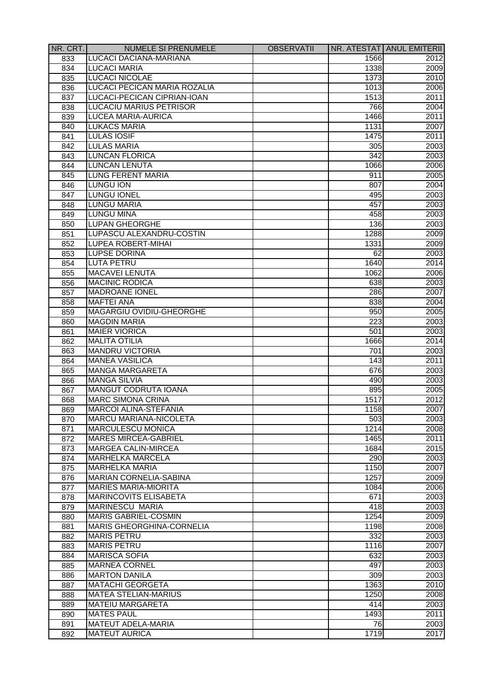| NR. CRT.   | <b>NUMELE SI PRENUMELE</b>                                      | <b>OBSERVATII</b> |              | NR. ATESTAT ANUL EMITERII |
|------------|-----------------------------------------------------------------|-------------------|--------------|---------------------------|
| 833        | LUCACI DACIANA-MARIANA                                          |                   | 1566         | 2012                      |
| 834        | <b>LUCACI MARIA</b>                                             |                   | 1338         | 2009                      |
| 835        | <b>LUCACI NICOLAE</b>                                           |                   | 1373         | 2010                      |
| 836        | LUCACI PECICAN MARIA ROZALIA                                    |                   | 1013         | 2006                      |
| 837        | LUCACI-PECICAN CIPRIAN-IOAN                                     |                   | 1513         | 2011                      |
| 838        | <b>LUCACIU MARIUS PETRISOR</b>                                  |                   | 766          | 2004                      |
| 839        | LUCEA MARIA-AURICA                                              |                   | 1466         | 2011                      |
| 840        | <b>LUKACS MARIA</b>                                             |                   | 1131         | 2007                      |
| 841        | <b>LULAS IOSIF</b>                                              |                   | 1475         | 2011                      |
| 842        | <b>LULAS MARIA</b>                                              |                   | 305          | 2003                      |
| 843        | <b>LUNCAN FLORICA</b>                                           |                   | 342          | 2003                      |
| 844        | <b>LUNCAN LENUTA</b>                                            |                   | 1066         | 2006                      |
| 845        | <b>LUNG FERENT MARIA</b>                                        |                   | 911          | 2005                      |
| 846        | <b>LUNGU ION</b>                                                |                   | 807          | 2004                      |
| 847        | <b>LUNGU IONEL</b>                                              |                   | 495          | 2003                      |
| 848        | <b>LUNGU MARIA</b>                                              |                   | 457          | 2003                      |
| 849        | <b>LUNGU MINA</b>                                               |                   | 458          | 2003                      |
| 850        | <b>LUPAN GHEORGHE</b>                                           |                   | 136          | 2003                      |
| 851        | LUPASCU ALEXANDRU-COSTIN                                        |                   | 1288         | 2009                      |
| 852        | <b>LUPEA ROBERT-MIHAI</b>                                       |                   | 1331         | 2009                      |
| 853        | <b>LUPSE DORINA</b>                                             |                   | 62           | 2003                      |
| 854        | <b>LUTA PETRU</b>                                               |                   | 1640         | 2014                      |
| 855        | <b>MACAVEI LENUTA</b>                                           |                   | 1062         | 2006                      |
| 856        | <b>MACINIC RODICA</b>                                           |                   | 638          | 2003                      |
| 857        | <b>MADROANE IONEL</b>                                           |                   | 286          | 2007                      |
| 858        | <b>MAFTEI ANA</b>                                               |                   | 838          | 2004                      |
| 859        | MAGARGIU OVIDIU-GHEORGHE                                        |                   | 950          | 2005                      |
|            | <b>MAGDIN MARIA</b>                                             |                   | 223          | 2003                      |
| 860<br>861 | <b>MAIER VIORICA</b>                                            |                   | 501          | 2003                      |
| 862        | <b>MALITA OTILIA</b>                                            |                   | 1666         | 2014                      |
| 863        | <b>MANDRU VICTORIA</b>                                          |                   | 701          | 2003                      |
| 864        | <b>MANEA VASILICA</b>                                           |                   | 143          | 2011                      |
|            | <b>MANGA MARGARETA</b>                                          |                   | 676          | 2003                      |
| 865        | <b>MANGA SILVIA</b>                                             |                   | 490          | 2003                      |
| 866<br>867 | MANGUT CODRUTA IOANA                                            |                   | 895          | 2005                      |
|            | <b>MARC SIMONA CRINA</b>                                        |                   | 1517         | 2012                      |
| 868        | <b>MARCOI ALINA-STEFANIA</b>                                    |                   | 1158         | 2007                      |
| 869        |                                                                 |                   |              | 2003                      |
| 870        | <b>MARCU MARIANA-NICOLETA</b><br>MARCULESCU MONICA              |                   | 503<br>1214  |                           |
| 871        | MARES MIRCEA-GABRIEL                                            |                   | 1465         | 2008<br>2011              |
| 872        | MARGEA CALIN-MIRCEA                                             |                   |              | 2015                      |
| 873        | <b>MARHELKA MARCELA</b>                                         |                   | 1684         |                           |
| 874        | <b>MARHELKA MARIA</b>                                           |                   | 290          | 2003<br>2007              |
| 875        | <b>MARIAN CORNELIA-SABINA</b>                                   |                   | 1150<br>1257 |                           |
| 876        | <b>MARIES MARIA-MIORITA</b>                                     |                   |              | 2009                      |
| 877        | MARINCOVITS ELISABETA                                           |                   | 1084<br>671  | 2006<br>2003              |
| 878        | <b>MARINESCU MARIA</b>                                          |                   | 418          | 2003                      |
| 879        |                                                                 |                   |              |                           |
| 880        | <b>MARIS GABRIEL-COSMIN</b><br><b>MARIS GHEORGHINA-CORNELIA</b> |                   | 1254<br>1198 | 2009<br>2008              |
| 881        |                                                                 |                   |              |                           |
| 882        | <b>MARIS PETRU</b>                                              |                   | 332          | 2003                      |
| 883        | <b>MARIS PETRU</b>                                              |                   | 1116         | 2007                      |
| 884        | <b>MARISCA SOFIA</b>                                            |                   | 632          | 2003                      |
| 885        | <b>MARNEA CORNEL</b>                                            |                   | 497          | 2003                      |
| 886        | <b>MARTON DANILA</b>                                            |                   | 309          | 2003                      |
| 887        | <b>MATACHI GEORGETA</b>                                         |                   | 1363         | 2010                      |
| 888        | <b>MATEA STELIAN-MARIUS</b>                                     |                   | 1250         | 2008                      |
| 889        | <b>MATEIU MARGARETA</b>                                         |                   | 414          | 2003                      |
| 890        | <b>MATES PAUL</b>                                               |                   | 1493         | 2011                      |
| 891        | <b>MATEUT ADELA-MARIA</b>                                       |                   | 76           | 2003                      |
| 892        | <b>MATEUT AURICA</b>                                            |                   | 1719         | 2017                      |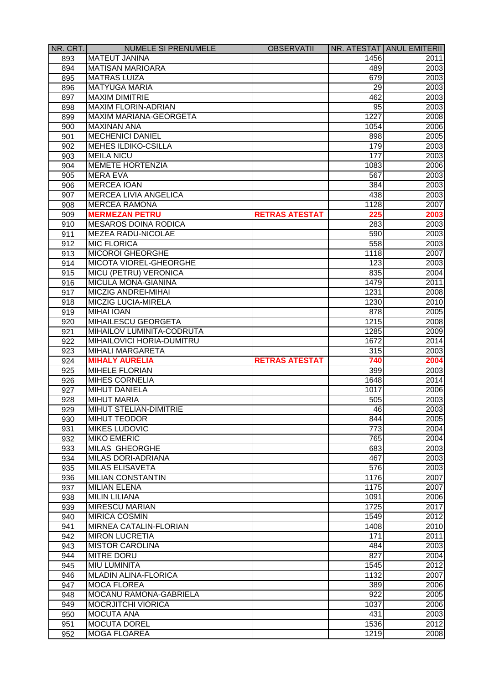| NR. CRT.   | <b>NUMELE SI PRENUMELE</b>    | <b>OBSERVATII</b>     |                  | NR. ATESTAT ANUL EMITERII |
|------------|-------------------------------|-----------------------|------------------|---------------------------|
| 893        | <b>MATEUT JANINA</b>          |                       | 1456             | 2011                      |
| 894        | <b>MATISAN MARIOARA</b>       |                       | 489              | 2003                      |
| 895        | <b>MATRAS LUIZA</b>           |                       | 679              | 2003                      |
| 896        | <b>MATYUGA MARIA</b>          |                       | 29               | 2003                      |
| 897        | <b>MAXIM DIMITRIE</b>         |                       | 462              | 2003                      |
| 898        | <b>MAXIM FLORIN-ADRIAN</b>    |                       | 95               | 2003                      |
| 899        | MAXIM MARIANA-GEORGETA        |                       | 1227             | 2008                      |
| 900        | <b>MAXINAN ANA</b>            |                       | 1054             | 2006                      |
| 901        | <b>MECHENICI DANIEL</b>       |                       | 898              | 2005                      |
| 902        | <b>MEHES ILDIKO-CSILLA</b>    |                       | 179              | 2003                      |
| 903        | <b>MEILA NICU</b>             |                       | 177              | 2003                      |
| 904        | <b>MEMETE HORTENZIA</b>       |                       | 1083             | 2006                      |
| 905        | <b>MERA EVA</b>               |                       | 567              | 2003                      |
| 906        | <b>MERCEA IOAN</b>            |                       | 384              | 2003                      |
| 907        | <b>MERCEA LIVIA ANGELICA</b>  |                       | 438              | 2003                      |
| 908        | <b>MERCEA RAMONA</b>          |                       | 1128             | 2007                      |
| 909        | <b>MERMEZAN PETRU</b>         | <b>RETRAS ATESTAT</b> | 225              | 2003                      |
| 910        | <b>MESAROS DOINA RODICA</b>   |                       | 283              | 2003                      |
| 911        | MEZEA RADU-NICOLAE            |                       | 590              | 2003                      |
| 912        | <b>MIC FLORICA</b>            |                       | 558              | 2003                      |
| 913        | <b>MICOROI GHEORGHE</b>       |                       | 1118             | 2007                      |
| 914        | <b>MICOTA VIOREL-GHEORGHE</b> |                       | 123              | 2003                      |
| 915        | MICU (PETRU) VERONICA         |                       | 835              | 2004                      |
| 916        | MICULA MONA-GIANINA           |                       | 1479             | 2011                      |
| 917        | MICZIG ANDREI-MIHAI           |                       | 1231             | 2008                      |
| 918        | MICZIG LUCIA-MIRELA           |                       | 1230             | 2010                      |
| 919        | <b>MIHAI IOAN</b>             |                       | 878              | 2005                      |
| 920        | <b>MIHAILESCU GEORGETA</b>    |                       | 1215             | 2008                      |
| 921        | MIHAILOV LUMINITA-CODRUTA     |                       | 1285             | 2009                      |
| 922        | MIHAILOVICI HORIA-DUMITRU     |                       | 1672             | 2014                      |
| 923        | MIHALI MARGARETA              |                       | 315              | 2003                      |
| 924        | <b>MIHALY AURELIA</b>         | <b>RETRAS ATESTAT</b> | 740              | 2004                      |
| 925        | <b>MIHELE FLORIAN</b>         |                       | 399              | 2003                      |
| 926        | <b>MIHES CORNELIA</b>         |                       | 1648             | 2014                      |
| 927        | <b>MIHUT DANIELA</b>          |                       | 1017             | 2006                      |
| 928        | <b>MIHUT MARIA</b>            |                       | 505              | 2003                      |
| 929        | MIHUT STELIAN-DIMITRIE        |                       | 46               | 2003                      |
| 930        | <b>MIHUT TEODOR</b>           |                       | 844              | 2005                      |
| 931        | <b>MIKES LUDOVIC</b>          |                       | $\overline{773}$ | 2004                      |
| 932        | <b>MIKO EMERIC</b>            |                       | 765              | 2004                      |
| 933        | <b>MILAS GHEORGHE</b>         |                       | 683              | 2003                      |
|            | MILAS DORI-ADRIANA            |                       | 467              | 2003                      |
| 934        | <b>MILAS ELISAVETA</b>        |                       | 576              | 2003                      |
| 935        | <b>MILIAN CONSTANTIN</b>      |                       | 1176             | 2007                      |
| 936        | <b>MILIAN ELENA</b>           |                       | 1175             | 2007                      |
| 937<br>938 | <b>MILIN LILIANA</b>          |                       | 1091             | 2006                      |
|            | <b>MIRESCU MARIAN</b>         |                       | 1725             | 2017                      |
| 939        |                               |                       |                  |                           |
| 940        | <b>MIRICA COSMIN</b>          |                       | 1549             | 2012                      |
| 941        | MIRNEA CATALIN-FLORIAN        |                       | 1408             | 2010                      |
| 942        | <b>MIRON LUCRETIA</b>         |                       | 171              | 2011                      |
| 943        | <b>MISTOR CAROLINA</b>        |                       | 484              | 2003                      |
| 944        | <b>MITRE DORU</b>             |                       | 827              | 2004                      |
| 945        | <b>MIU LUMINITA</b>           |                       | 1545             | 2012                      |
| 946        | <b>MLADIN ALINA-FLORICA</b>   |                       | 1132             | 2007                      |
| 947        | <b>MOCA FLOREA</b>            |                       | 389              | 2006                      |
| 948        | MOCANU RAMONA-GABRIELA        |                       | 922              | 2005                      |
| 949        | <b>MOCRJITCHI VIORICA</b>     |                       | 1037             | 2006                      |
| 950        | <b>MOCUTA ANA</b>             |                       | 431              | 2003                      |
| 951        | <b>MOCUTA DOREL</b>           |                       | 1536             | 2012                      |
| 952        | <b>MOGA FLOAREA</b>           |                       | 1219             | 2008                      |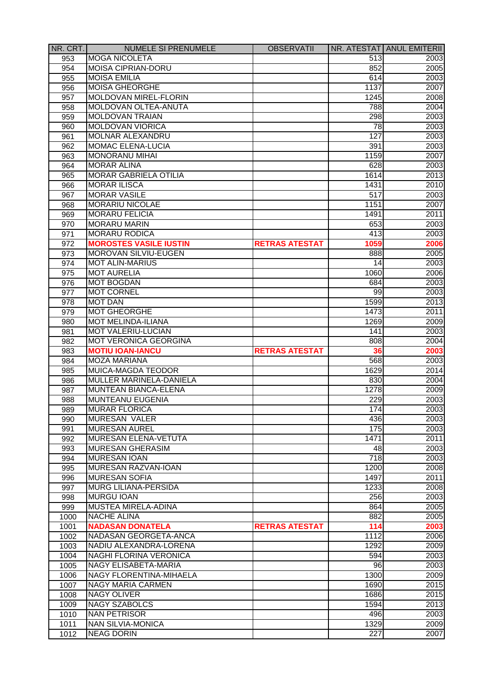| NR. CRT. | <b>NUMELE SI PRENUMELE</b>    | <b>OBSERVATII</b>     |                  | NR. ATESTAT ANUL EMITERII |
|----------|-------------------------------|-----------------------|------------------|---------------------------|
| 953      | <b>MOGA NICOLETA</b>          |                       | 513              | 2003                      |
| 954      | MOISA CIPRIAN-DORU            |                       | 852              | 2005                      |
| 955      | <b>MOISA EMILIA</b>           |                       | 614              | 2003                      |
| 956      | <b>MOISA GHEORGHE</b>         |                       | 1137             | 2007                      |
| 957      | MOLDOVAN MIREL-FLORIN         |                       | 1245             | 2008                      |
| 958      | MOLDOVAN OLTEA-ANUTA          |                       | 788              | 2004                      |
| 959      | MOLDOVAN TRAIAN               |                       | 298              | 2003                      |
| 960      | MOLDOVAN VIORICA              |                       | 78               | 2003                      |
| 961      | <b>MOLNAR ALEXANDRU</b>       |                       | 127              | 2003                      |
| 962      | <b>MOMAC ELENA-LUCIA</b>      |                       | 391              | 2003                      |
| 963      | <b>MONORANU MIHAI</b>         |                       | 1159             | 2007                      |
| 964      | <b>MORAR ALINA</b>            |                       | 628              | 2003                      |
| 965      | <b>MORAR GABRIELA OTILIA</b>  |                       | 1614             | 2013                      |
| 966      | <b>MORAR ILISCA</b>           |                       | 1431             | 2010                      |
| 967      | <b>MORAR VASILE</b>           |                       | 517              | 2003                      |
| 968      | <b>MORARIU NICOLAE</b>        |                       | 1151             | 2007                      |
| 969      | <b>MORARU FELICIA</b>         |                       | 1491             | 2011                      |
| 970      | <b>MORARU MARIN</b>           |                       | 653              | 2003                      |
| 971      | <b>MORARU RODICA</b>          |                       | 413              | 2003                      |
| 972      | <b>MOROSTES VASILE IUSTIN</b> | <b>RETRAS ATESTAT</b> | 1059             | 2006                      |
| 973      | <b>MOROVAN SILVIU-EUGEN</b>   |                       | 888              | 2005                      |
|          | <b>MOT ALIN-MARIUS</b>        |                       | 14               | 2003                      |
| 974      |                               |                       |                  |                           |
| 975      | <b>MOT AURELIA</b>            |                       | 1060             | 2006                      |
| 976      | <b>MOT BOGDAN</b>             |                       | 684              | 2003                      |
| 977      | <b>MOT CORNEL</b>             |                       | 99               | 2003                      |
| 978      | <b>MOT DAN</b>                |                       | 1599             | 2013                      |
| 979      | <b>MOT GHEORGHE</b>           |                       | 1473             | 2011                      |
| 980      | MOT MELINDA-ILIANA            |                       | 1269             | 2009                      |
| 981      | <b>MOT VALERIU-LUCIAN</b>     |                       | 141              | 2003                      |
| 982      | <b>MOT VERONICA GEORGINA</b>  |                       | 808              | 2004                      |
| 983      | <b>MOTIU IOAN-IANCU</b>       | <b>RETRAS ATESTAT</b> | 36               | 2003                      |
| 984      | <b>MOZA MARIANA</b>           |                       | 568              | 2003                      |
| 985      | MUICA-MAGDA TEODOR            |                       | 1629             | 2014                      |
| 986      | MULLER MARINELA-DANIELA       |                       | 830              | 2004                      |
| 987      | MUNTEAN BIANCA-ELENA          |                       | 1278             | 2009                      |
| 988      | <b>MUNTEANU EUGENIA</b>       |                       | 229              | 2003                      |
| 989      | <b>MURAR FLORICA</b>          |                       | 174              | 2003                      |
| 990      | <b>MURESAN VALER</b>          |                       | 436              | 2003                      |
| 991      | MURESAN AUREL                 |                       | 175              | 2003                      |
| 992      | <b>MURESAN ELENA-VETUTA</b>   |                       | 1471             | 2011                      |
| 993      | MURESAN GHERASIM              |                       | 48               | 2003                      |
| 994      | <b>MURESAN IOAN</b>           |                       | $\overline{718}$ | 2003                      |
| 995      | MURESAN RAZVAN-IOAN           |                       | 1200             | 2008                      |
| 996      | <b>MURESAN SOFIA</b>          |                       | 1497             | 2011                      |
| 997      | MURG LILIANA-PERSIDA          |                       | 1233             | 2008                      |
| 998      | <b>MURGU IOAN</b>             |                       | 256              | 2003                      |
| 999      | <b>MUSTEA MIRELA-ADINA</b>    |                       | 864              | 2005                      |
| 1000     | <b>NACHE ALINA</b>            |                       | 882              | 2005                      |
| 1001     | <b>NADASAN DONATELA</b>       | <b>RETRAS ATESTAT</b> | 114              | 2003                      |
| 1002     | <b>NADASAN GEORGETA-ANCA</b>  |                       | 1112             | 2006                      |
| 1003     | NADIU ALEXANDRA-LORENA        |                       | 1292             | 2009                      |
| 1004     | <b>NAGHI FLORINA VERONICA</b> |                       | 594              | 2003                      |
| 1005     | <b>NAGY ELISABETA-MARIA</b>   |                       | 96               | 2003                      |
| 1006     | NAGY FLORENTINA-MIHAELA       |                       | 1300             | 2009                      |
| 1007     | <b>NAGY MARIA CARMEN</b>      |                       | 1690             | 2015                      |
| 1008     | <b>NAGY OLIVER</b>            |                       | 1686             | 2015                      |
| 1009     | <b>NAGY SZABOLCS</b>          |                       | 1594             | 2013                      |
| 1010     | <b>NAN PETRISOR</b>           |                       | 496              | 2003                      |
| 1011     | <b>NAN SILVIA-MONICA</b>      |                       | 1329             | 2009                      |
| 1012     | <b>NEAG DORIN</b>             |                       | 227              | 2007                      |
|          |                               |                       |                  |                           |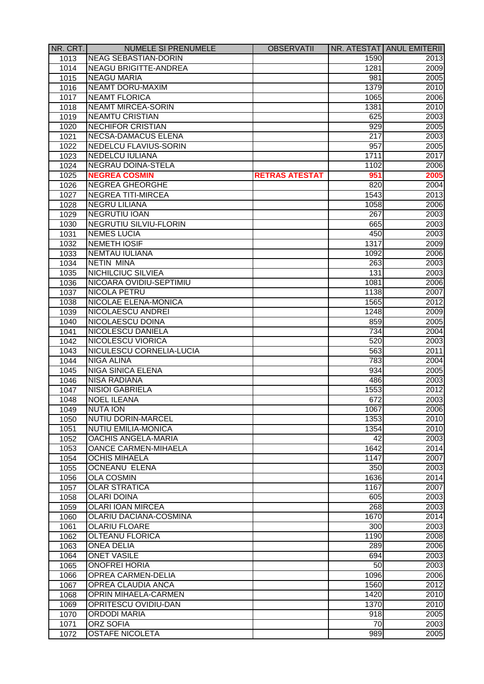| NR. CRT. | NUMELE SI PRENUMELE           | <b>OBSERVATII</b>     |                  | NR. ATESTAT ANUL EMITERII |
|----------|-------------------------------|-----------------------|------------------|---------------------------|
| 1013     | <b>NEAG SEBASTIAN-DORIN</b>   |                       | 1590             | 2013                      |
| 1014     | <b>NEAGU BRIGITTE-ANDREA</b>  |                       | 1281             | 2009                      |
| 1015     | <b>NEAGU MARIA</b>            |                       | 981              | 2005                      |
| 1016     | <b>NEAMT DORU-MAXIM</b>       |                       | 1379             | 2010                      |
| 1017     | <b>NEAMT FLORICA</b>          |                       | 1065             | 2006                      |
| 1018     | <b>NEAMT MIRCEA-SORIN</b>     |                       | 1381             | 2010                      |
| 1019     | <b>NEAMTU CRISTIAN</b>        |                       | 625              | 2003                      |
| 1020     | <b>NECHIFOR CRISTIAN</b>      |                       | 929              | 2005                      |
| 1021     | <b>NECSA-DAMACUS ELENA</b>    |                       | $\overline{2}17$ | 2003                      |
| 1022     | NEDELCU FLAVIUS-SORIN         |                       | 957              | 2005                      |
| 1023     | <b>NEDELCU IULIANA</b>        |                       | 1711             | 2017                      |
| 1024     | NEGRAU DOINA-STELA            |                       | 1102             | 2006                      |
| 1025     | <b>NEGREA COSMIN</b>          | <b>RETRAS ATESTAT</b> | 951              | 2005                      |
| 1026     | <b>NEGREA GHEORGHE</b>        |                       | 820              | 2004                      |
| 1027     | NEGREA TITI-MIRCEA            |                       | 1543             | 2013                      |
| 1028     | <b>NEGRU LILIANA</b>          |                       | 1058             | 2006                      |
| 1029     | NEGRUTIU IOAN                 |                       | 267              | 2003                      |
| 1030     | <b>NEGRUTIU SILVIU-FLORIN</b> |                       | 665              | 2003                      |
| 1031     | <b>NEMES LUCIA</b>            |                       | 450              | 2003                      |
| 1032     | <b>NEMETH IOSIF</b>           |                       | 1317             | 2009                      |
| 1033     | NEMTAU IULIANA                |                       | 1092             | 2006                      |
| 1034     | <b>NETIN MINA</b>             |                       | 263              | 2003                      |
| 1035     | NICHILCIUC SILVIEA            |                       | 131              | 2003                      |
| 1036     | NICOARA OVIDIU-SEPTIMIU       |                       | 1081             | 2006                      |
| 1037     | NICOLA PETRU                  |                       | 1138             | 2007                      |
| 1038     | NICOLAE ELENA-MONICA          |                       | 1565             | 2012                      |
| 1039     | NICOLAESCU ANDREI             |                       | 1248             | 2009                      |
| 1040     | NICOLAESCU DOINA              |                       | 859              | 2005                      |
| 1041     | NICOLESCU DANIELA             |                       | 734              | 2004                      |
| 1042     | <b>NICOLESCU VIORICA</b>      |                       | 520              | 2003                      |
| 1043     | NICULESCU CORNELIA-LUCIA      |                       | 563              | 2011                      |
| 1044     | <b>NIGA ALINA</b>             |                       | 783              | 2004                      |
| 1045     | <b>NIGA SINICA ELENA</b>      |                       | 934              | 2005                      |
| 1046     | <b>NISA RADIANA</b>           |                       | 486              | 2003                      |
| 1047     | <b>NISIOI GABRIELA</b>        |                       | 1553             | 2012                      |
|          | <b>NOEL ILEANA</b>            |                       | 672              | 2003                      |
| 1048     |                               |                       |                  |                           |
| 1049     | <b>NUTA ION</b>               |                       | 1067             | 2006                      |
| 1050     | <b>NUTIU DORIN-MARCEL</b>     |                       | 1353             | 2010                      |
| 1051     | <b>NUTIU EMILIA-MONICA</b>    |                       | 1354             | 2010                      |
| 1052     | OACHIS ANGELA-MARIA           |                       | $\overline{42}$  | 2003                      |
| 1053     | OANCE CARMEN-MIHAELA          |                       | 1642             | 2014                      |
| 1054     | <b>OCHIS MIHAELA</b>          |                       | 1147             | 2007                      |
| 1055     | <b>OCNEANU ELENA</b>          |                       | 350              | 2003                      |
| 1056     | <b>OLA COSMIN</b>             |                       | 1636             | 2014                      |
| 1057     | <b>OLAR STRATICA</b>          |                       | 1167             | 2007                      |
| 1058     | <b>OLARI DOINA</b>            |                       | 605              | 2003                      |
| 1059     | <b>OLARI IOAN MIRCEA</b>      |                       | 268              | 2003                      |
| 1060     | <b>OLARIU DACIANA-COSMINA</b> |                       | 1670             | 2014                      |
| 1061     | <b>OLARIU FLOARE</b>          |                       | 300              | 2003                      |
| 1062     | <b>OLTEANU FLORICA</b>        |                       | 1190             | 2008                      |
| 1063     | <b>ONEA DELIA</b>             |                       | 289              | 2006                      |
| 1064     | <b>ONET VASILE</b>            |                       | 694              | 2003                      |
| 1065     | <b>ONOFREI HORIA</b>          |                       | 50               | 2003                      |
| 1066     | <b>OPREA CARMEN-DELIA</b>     |                       | 1096             | 2006                      |
| 1067     | <b>OPREA CLAUDIA ANCA</b>     |                       | 1560             | 2012                      |
| 1068     | <b>OPRIN MIHAELA-CARMEN</b>   |                       | 1420             | 2010                      |
| 1069     | <b>OPRITESCU OVIDIU-DAN</b>   |                       | 1370             | 2010                      |
| 1070     | <b>ORDODI MARIA</b>           |                       | 918              | 2005                      |
| 1071     | <b>ORZ SOFIA</b>              |                       | 70               | 2003                      |
| 1072     | <b>OSTAFE NICOLETA</b>        |                       | 989              | 2005                      |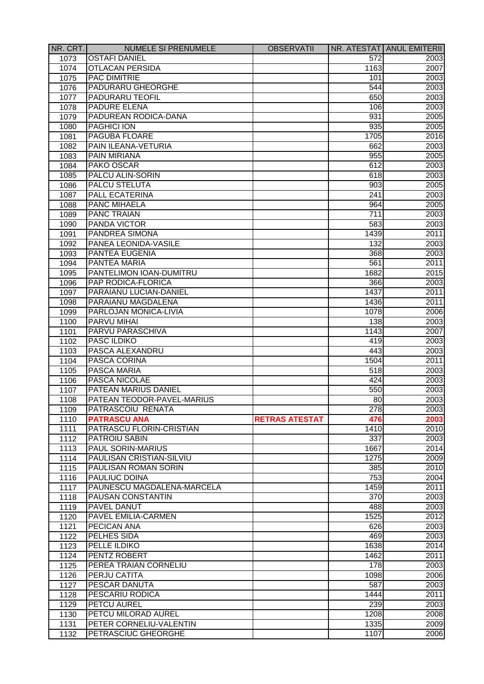| NR. CRT. | <b>NUMELE SI PRENUMELE</b> | <b>OBSERVATII</b>     |      | NR. ATESTAT ANUL EMITERII |
|----------|----------------------------|-----------------------|------|---------------------------|
| 1073     | <b>OSTAFI DANIEL</b>       |                       | 572  | 2003                      |
| 1074     | <b>OTLACAN PERSIDA</b>     |                       | 1163 | 2007                      |
| 1075     | <b>PAC DIMITRIE</b>        |                       | 101  | 2003                      |
| 1076     | <b>PADURARU GHEORGHE</b>   |                       | 544  | 2003                      |
| 1077     | <b>PADURARU TEOFIL</b>     |                       | 650  | 2003                      |
| 1078     | <b>PADURE ELENA</b>        |                       | 106  | 2003                      |
| 1079     | PADUREAN RODICA-DANA       |                       | 931  | 2005                      |
| 1080     | <b>PAGHICI ION</b>         |                       | 935  | 2005                      |
| 1081     | PAGUBA FLOARE              |                       | 1705 | 2016                      |
| 1082     | PAIN ILEANA-VETURIA        |                       | 662  | 2003                      |
| 1083     | <b>PAIN MIRIANA</b>        |                       | 955  | 2005                      |
| 1084     | <b>PAKO OSCAR</b>          |                       | 612  | 2003                      |
| 1085     | PALCU ALIN-SORIN           |                       | 618  | 2003                      |
| 1086     | PALCU STELUTA              |                       | 903  | 2005                      |
| 1087     | <b>PALL ECATERINA</b>      |                       | 241  | 2003                      |
| 1088     | <b>PANC MIHAELA</b>        |                       | 964  | 2005                      |
| 1089     | <b>PANC TRAIAN</b>         |                       | 711  | 2003                      |
| 1090     | <b>PANDA VICTOR</b>        |                       | 583  | 2003                      |
| 1091     | <b>PANDREA SIMONA</b>      |                       | 1439 | 2011                      |
| 1092     | PANEA LEONIDA-VASILE       |                       | 132  | 2003                      |
| 1093     | PANTEA EUGENIA             |                       | 368  | 2003                      |
| 1094     | <b>PANTEA MARIA</b>        |                       | 561  | 2011                      |
| 1095     | PANTELIMON IOAN-DUMITRU    |                       | 1682 | 2015                      |
| 1096     | PAP RODICA-FLORICA         |                       | 366  | 2003                      |
| 1097     | PARAIANU LUCIAN-DANIEL     |                       | 1437 | 2011                      |
| 1098     | PARAIANU MAGDALENA         |                       | 1436 | 2011                      |
| 1099     | PARLOJAN MONICA-LIVIA      |                       | 1078 | 2006                      |
| 1100     | <b>PARVU MIHAI</b>         |                       | 138  | 2003                      |
| 1101     | PARVU PARASCHIVA           |                       | 1143 | 2007                      |
| 1102     | <b>PASC ILDIKO</b>         |                       | 419  | 2003                      |
| 1103     | PASCA ALEXANDRU            |                       | 443  | 2003                      |
| 1104     | <b>PASCA CORINA</b>        |                       | 1504 | 2011                      |
| 1105     | <b>PASCA MARIA</b>         |                       | 518  | 2003                      |
| 1106     | PASCA NICOLAE              |                       | 424  | 2003                      |
| 1107     | PATEAN MARIUS DANIEL       |                       | 550  | 2003                      |
| 1108     | PATEAN TEODOR-PAVEL-MARIUS |                       | 80   | 2003                      |
| 1109     | PATRASCOIU RENATA          |                       | 278  | 2003                      |
| 1110     | <b>PATRASCU ANA</b>        | <b>RETRAS ATESTAT</b> | 476  | 2003                      |
| 1111     | PATRASCU FLORIN-CRISTIAN   |                       | 1410 | 2010                      |
| 1112     | PATROIU SABIN              |                       | 337  | 2003                      |
| 1113     | <b>PAUL SORIN-MARIUS</b>   |                       | 1667 | 2014                      |
| 1114     | PAULISAN CRISTIAN-SILVIU   |                       | 1275 | 2009                      |
| 1115     | PAULISAN ROMAN SORIN       |                       | 385  | 2010                      |
| 1116     | <b>PAULIUC DOINA</b>       |                       | 753  | 2004                      |
| 1117     | PAUNESCU MAGDALENA-MARCELA |                       | 1459 | 2011                      |
| 1118     | <b>PAUSAN CONSTANTIN</b>   |                       | 370  | 2003                      |
| 1119     | <b>PAVEL DANUT</b>         |                       | 488  | 2003                      |
| 1120     | <b>PAVEL EMILIA-CARMEN</b> |                       | 1525 | 2012                      |
| 1121     | <b>PECICAN ANA</b>         |                       | 626  | 2003                      |
| 1122     | <b>PELHES SIDA</b>         |                       | 469  | 2003                      |
| 1123     | <b>PELLE ILDIKO</b>        |                       | 1638 | 2014                      |
| 1124     | PENTZ ROBERT               |                       | 1462 | 2011                      |
| 1125     | PEREA TRAIAN CORNELIU      |                       | 178  | 2003                      |
| 1126     | <b>PERJU CATITA</b>        |                       | 1098 | 2006                      |
| 1127     | <b>PESCAR DANUTA</b>       |                       | 587  | 2003                      |
| 1128     | <b>PESCARIU RODICA</b>     |                       | 1444 | 2011                      |
| 1129     | <b>PETCU AUREL</b>         |                       | 239  | 2003                      |
| 1130     | PETCU MILORAD AUREL        |                       | 1208 | 2008                      |
| 1131     | PETER CORNELIU-VALENTIN    |                       | 1335 | 2009                      |
| 1132     | PETRASCIUC GHEORGHE        |                       | 1107 | 2006                      |
|          |                            |                       |      |                           |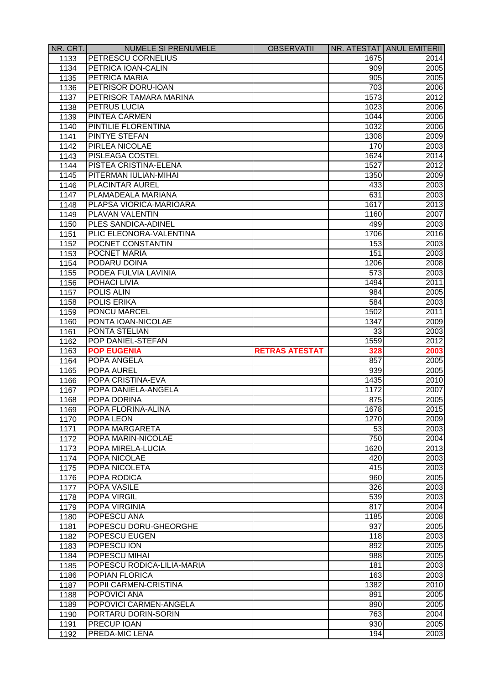| NR. CRT.     | <b>NUMELE SI PRENUMELE</b>           | <b>OBSERVATII</b>     |            | NR. ATESTAT ANUL EMITERII |
|--------------|--------------------------------------|-----------------------|------------|---------------------------|
| 1133         | <b>PETRESCU CORNELIUS</b>            |                       | 1675       | 2014                      |
| 1134         | PETRICA IOAN-CALIN                   |                       | 909        | 2005                      |
| 1135         | PETRICA MARIA                        |                       | 905        | 2005                      |
| 1136         | PETRISOR DORU-IOAN                   |                       | 703        | 2006                      |
| 1137         | PETRISOR TAMARA MARINA               |                       | 1573       | 2012                      |
| 1138         | <b>PETRUS LUCIA</b>                  |                       | 1023       | 2006                      |
| 1139         | <b>PINTEA CARMEN</b>                 |                       | 1044       | 2006                      |
| 1140         | PINTILIE FLORENTINA                  |                       | 1032       | 2006                      |
| 1141         | <b>PINTYE STEFAN</b>                 |                       | 1308       | 2009                      |
| 1142         | <b>PIRLEA NICOLAE</b>                |                       | 170        | 2003                      |
| 1143         | <b>PISLEAGA COSTEL</b>               |                       | 1624       | 2014                      |
| 1144         | PISTEA CRISTINA-ELENA                |                       | 1527       | 2012                      |
| 1145         | PITERMAN IULIAN-MIHAI                |                       | 1350       | 2009                      |
| 1146         | PLACINTAR AUREL                      |                       | 433        | 2003                      |
| 1147         | PLAMADEALA MARIANA                   |                       | 631        | 2003                      |
| 1148         | PLAPSA VIORICA-MARIOARA              |                       | 1617       | 2013                      |
| 1149         | <b>PLAVAN VALENTIN</b>               |                       | 1160       | 2007                      |
| 1150         | PLES SANDICA-ADINEL                  |                       | 499        | 2003                      |
| 1151         | PLIC ELEONORA-VALENTINA              |                       | 1706       | 2016                      |
| 1152         | POCNET CONSTANTIN                    |                       | 153        | 2003                      |
| 1153         | POCNET MARIA                         |                       | 151        | 2003                      |
| 1154         | PODARU DOINA                         |                       | 1206       | 2008                      |
| 1155         | PODEA FULVIA LAVINIA                 |                       | 573        | 2003                      |
| 1156         | POHACI LIVIA                         |                       | 1494       | 2011                      |
| 1157         | POLIS ALIN                           |                       | 984        | 2005                      |
| 1158         | <b>POLIS ERIKA</b>                   |                       | 584        | 2003                      |
| 1159         | <b>PONCU MARCEL</b>                  |                       | 1502       | 2011                      |
| 1160         | PONTA IOAN-NICOLAE                   |                       | 1347       | 2009                      |
| 1161         | <b>PONTA STELIAN</b>                 |                       | 33         | 2003                      |
| 1162         | POP DANIEL-STEFAN                    |                       | 1559       | 2012                      |
|              |                                      |                       |            |                           |
|              |                                      |                       |            |                           |
| 1163         | <b>POP EUGENIA</b>                   | <b>RETRAS ATESTAT</b> | 328        | 2003                      |
| 1164         | POPA ANGELA                          |                       | 857        | 2005                      |
| 1165         | <b>POPA AUREL</b>                    |                       | 939        | 2005                      |
| 1166         | POPA CRISTINA-EVA                    |                       | 1435       | 2010                      |
| 1167         | POPA DANIELA-ANGELA                  |                       | 1172       | 2007                      |
| 1168         | POPA DORINA                          |                       | 875        | 2005                      |
| 1169         | POPA FLORINA-ALINA                   |                       | 1678       |                           |
| 1170         | POPA LEON                            |                       | 1270       | 2009                      |
| 1171         | POPA MARGARETA                       |                       | 53         | 2003                      |
| 1172         | POPA MARIN-NICOLAE                   |                       | 750        | 2004                      |
| 1173         | POPA MIRELA-LUCIA                    |                       | 1620       | 2015<br>2013              |
| 1174         | POPA NICOLAE                         |                       | 420        | 2003                      |
| 1175         | POPA NICOLETA                        |                       | 415        | 2003                      |
| 1176         | POPA RODICA                          |                       | 960        | 2005                      |
| 1177         | POPA VASILE                          |                       | 326        | 2003                      |
| 1178         | <b>POPA VIRGIL</b>                   |                       | 539        | 2003                      |
| 1179         | POPA VIRGINIA                        |                       | 817        | 2004                      |
| 1180         | POPESCU ANA                          |                       | 1185       | 2008                      |
| 1181         | POPESCU DORU-GHEORGHE                |                       | 937        | 2005                      |
| 1182         | <b>POPESCU EUGEN</b>                 |                       | 118        | 2003                      |
| 1183         | POPESCU ION                          |                       | 892        | 2005                      |
| 1184         | POPESCU MIHAI                        |                       | 988        | 2005                      |
| 1185         | POPESCU RODICA-LILIA-MARIA           |                       | 181        | 2003                      |
| 1186         | POPIAN FLORICA                       |                       | 163        | 2003                      |
| 1187         | POPII CARMEN-CRISTINA                |                       | 1382       | 2010                      |
| 1188         | POPOVICI ANA                         |                       | 891        | 2005                      |
| 1189         | POPOVICI CARMEN-ANGELA               |                       | 890        | 2005                      |
| 1190         | PORTARU DORIN-SORIN                  |                       | 763        | 2004                      |
| 1191<br>1192 | <b>PRECUP IOAN</b><br>PREDA-MIC LENA |                       | 930<br>194 | 2005<br>2003              |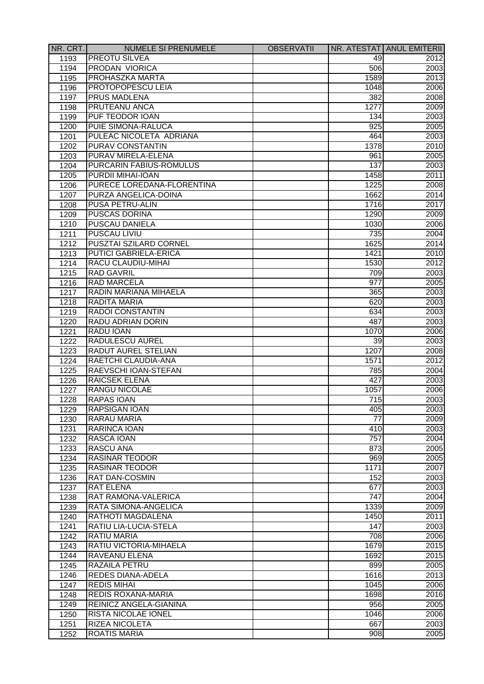| NR. CRT. | <b>NUMELE SI PRENUMELE</b>    | <b>OBSERVATII</b> |                 | NR. ATESTAT ANUL EMITERII |
|----------|-------------------------------|-------------------|-----------------|---------------------------|
| 1193     | <b>PREOTU SILVEA</b>          |                   | 49              | 2012                      |
| 1194     | PRODAN VIORICA                |                   | 506             | 2003                      |
| 1195     | PROHASZKA MARTA               |                   | 1589            | 2013                      |
| 1196     | PROTOPOPESCU LEIA             |                   | 1048            | 2006                      |
| 1197     | <b>PRUS MADLENA</b>           |                   | 382             | 2008                      |
| 1198     | PRUTEANU ANCA                 |                   | 1277            | 2009                      |
| 1199     | PUF TEODOR IOAN               |                   | 134             | 2003                      |
| 1200     | PUIE SIMONA-RALUCA            |                   | 925             | 2005                      |
| 1201     | PULEAC NICOLETA ADRIANA       |                   | 464             | 2003                      |
| 1202     | <b>PURAV CONSTANTIN</b>       |                   | 1378            | 2010                      |
| 1203     | PURAV MIRELA-ELENA            |                   | 961             | 2005                      |
| 1204     | PURCARIN FABIUS-ROMULUS       |                   | 137             | 2003                      |
| 1205     | <b>PURDII MIHAI-IOAN</b>      |                   | 1458            | 2011                      |
| 1206     | PURECE LOREDANA-FLORENTINA    |                   | 1225            | 2008                      |
| 1207     | PURZA ANGELICA-DOINA          |                   | 1662            | 2014                      |
| 1208     | <b>PUSA PETRU-ALIN</b>        |                   | 1716            | 2017                      |
| 1209     | <b>PUSCAS DORINA</b>          |                   | 1290            | 2009                      |
| 1210     | PUSCAU DANIELA                |                   | 1030            | 2006                      |
| 1211     | <b>PUSCAU LIVIU</b>           |                   | 735             | 2004                      |
| 1212     | PUSZTAI SZILARD CORNEL        |                   | 1625            | 2014                      |
| 1213     | <b>PUTICI GABRIELA-ERICA</b>  |                   | 1421            | 2010                      |
| 1214     | RACU CLAUDIU-MIHAI            |                   | 1530            | 2012                      |
| 1215     | <b>RAD GAVRIL</b>             |                   | 709             | 2003                      |
| 1216     | <b>RAD MARCELA</b>            |                   | 977             | 2005                      |
| 1217     | RADIN MARIANA MIHAELA         |                   | 365             | 2003                      |
| 1218     | <b>RADITA MARIA</b>           |                   | 620             | 2003                      |
| 1219     | <b>RADOI CONSTANTIN</b>       |                   | 634             | 2003                      |
| 1220     | RADU ADRIAN DORIN             |                   | 487             | 2003                      |
| 1221     | <b>RADU IOAN</b>              |                   | 1070            | 2006                      |
| 1222     | <b>RADULESCU AUREL</b>        |                   | 39              | 2003                      |
| 1223     | <b>RADUT AUREL STELIAN</b>    |                   | 1207            | 2008                      |
| 1224     | RAETCHI CLAUDIA-ANA           |                   | 1571            | 2012                      |
| 1225     | RAEVSCHI IOAN-STEFAN          |                   | 785             | 2004                      |
| 1226     | <b>RAICSEK ELENA</b>          |                   | 427             | 2003                      |
| 1227     | RANGU NICOLAE                 |                   | 1057            | 2006                      |
| 1228     | <b>RAPAS IOAN</b>             |                   | 715             | 2003                      |
| 1229     | <b>RAPSIGAN IOAN</b>          |                   | 405             | 2003                      |
| 1230     | <b>RARAU MARIA</b>            |                   | $\overline{77}$ | 2009                      |
|          | RARINCA IOAN                  |                   | 410             | 2003                      |
| 1231     | RASCA IOAN                    |                   | 757             | 2004                      |
| 1232     | <b>RASCU ANA</b>              |                   |                 | 2005                      |
| 1233     |                               |                   | 873             |                           |
| 1234     | <b>RASINAR TEODOR</b>         |                   | 969             | 2005                      |
| 1235     | <b>RASINAR TEODOR</b>         |                   | 1171            | 2007                      |
| 1236     | <b>RAT DAN-COSMIN</b>         |                   | 152             | 2003                      |
| 1237     | <b>RAT ELENA</b>              |                   | 677             | 2003                      |
| 1238     | <b>RAT RAMONA-VALERICA</b>    |                   | 747             | 2004                      |
| 1239     | RATA SIMONA-ANGELICA          |                   | 1339            | 2009                      |
| 1240     | <b>RATHOTI MAGDALENA</b>      |                   | 1450            | 2011                      |
| 1241     | RATIU LIA-LUCIA-STELA         |                   | 147             | 2003                      |
| 1242     | <b>RATIU MARIA</b>            |                   | 708             | 2006                      |
| 1243     | RATIU VICTORIA-MIHAELA        |                   | 1679            | 2015                      |
| 1244     | RAVEANU ELENA                 |                   | 1692            | 2015                      |
| 1245     | <b>RAZAILA PETRU</b>          |                   | 899             | 2005                      |
| 1246     | <b>REDES DIANA-ADELA</b>      |                   | 1616            | 2013                      |
| 1247     | <b>REDIS MIHAI</b>            |                   | 1045            | 2006                      |
| 1248     | <b>REDIS ROXANA-MARIA</b>     |                   | 1698            | 2016                      |
| 1249     | <b>REINICZ ANGELA-GIANINA</b> |                   | 956             | 2005                      |
| 1250     | <b>RISTA NICOLAE IONEL</b>    |                   | 1046            | 2006                      |
| 1251     | <b>RIZEA NICOLETA</b>         |                   | 667             | 2003                      |
| 1252     | <b>ROATIS MARIA</b>           |                   | 908             | 2005                      |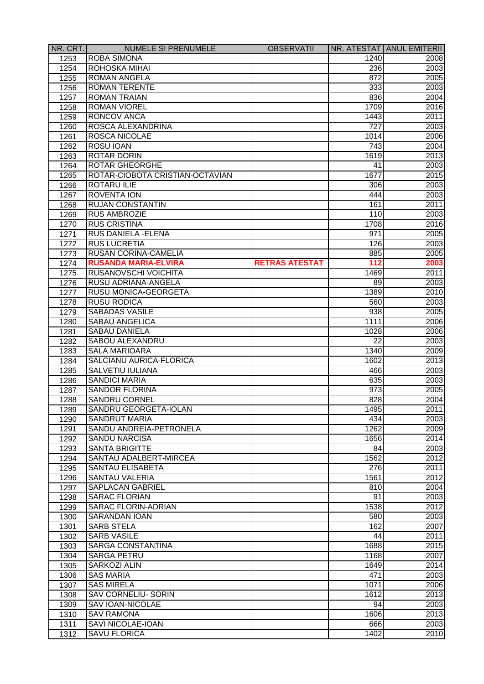| NR. CRT.     | <b>NUMELE SI PRENUMELE</b>      | <b>OBSERVATII</b>     |                  | NR. ATESTAT ANUL EMITERII |
|--------------|---------------------------------|-----------------------|------------------|---------------------------|
| 1253         | <b>ROBA SIMONA</b>              |                       | 1240             | 2008                      |
| 1254         | ROHOSKA MIHAI                   |                       | 236              | 2003                      |
| 1255         | <b>ROMAN ANGELA</b>             |                       | 872              | 2005                      |
| 1256         | <b>ROMAN TERENTE</b>            |                       | 333              | 2003                      |
| 1257         | <b>ROMAN TRAIAN</b>             |                       | 836              | 2004                      |
| 1258         | <b>ROMAN VIOREL</b>             |                       | 1709             | 2016                      |
| 1259         | <b>RONCOV ANCA</b>              |                       | 1443             | 2011                      |
| 1260         | ROSCA ALEXANDRINA               |                       | 727              | 2003                      |
| 1261         | ROSCA NICOLAE                   |                       | 1014             | 2006                      |
| 1262         | ROSU IOAN                       |                       | 743              | 2004                      |
| 1263         | <b>ROTAR DORIN</b>              |                       | 1619             | 2013                      |
| 1264         | <b>ROTAR GHEORGHE</b>           |                       | 41               | 2003                      |
| 1265         | ROTAR-CIOBOTA CRISTIAN-OCTAVIAN |                       | 1677             | 2015                      |
| 1266         | <b>ROTARU ILIE</b>              |                       | 306              | 2003                      |
| 1267         | <b>ROVENTA ION</b>              |                       | 444              | 2003                      |
| 1268         | <b>RUJAN CONSTANTIN</b>         |                       | 161              | 2011                      |
| 1269         | <b>RUS AMBROZIE</b>             |                       | 110              | 2003                      |
| 1270         | <b>RUS CRISTINA</b>             |                       | 1708             | 2016                      |
| 1271         | RUS DANIELA - ELENA             |                       | 971              | 2005                      |
| 1272         | <b>RUS LUCRETIA</b>             |                       | 126              | 2003                      |
| 1273         | <b>RUSAN CORINA-CAMELIA</b>     |                       | 885              | 2005                      |
| 1274         | <b>RUSANDA MARIA-ELVIRA</b>     | <b>RETRAS ATESTAT</b> | 112              | 2003                      |
| 1275         | <b>RUSANOVSCHI VOICHITA</b>     |                       | 1469             | 2011                      |
| 1276         | RUSU ADRIANA-ANGELA             |                       | 89               | 2003                      |
| 1277         | <b>RUSU MONICA-GEORGETA</b>     |                       | 1389             | 2010                      |
| 1278         | <b>RUSU RODICA</b>              |                       | 560              | 2003                      |
| 1279         | <b>SABADAS VASILE</b>           |                       | 938              | 2005                      |
|              | SABAU ANGELICA                  |                       | 1111             |                           |
| 1280         | <b>SABAU DANIELA</b>            |                       |                  | 2006<br>2006              |
| 1281<br>1282 | SABOU ALEXANDRU                 |                       | 1028<br>22       | 2003                      |
|              | <b>SALA MARIOARA</b>            |                       | 1340             |                           |
| 1283         | SALCIANU AURICA-FLORICA         |                       | 1602             | 2009<br>2013              |
| 1284         | <b>SALVETIU IULIANA</b>         |                       |                  | 2003                      |
| 1285         | <b>SANDICI MARIA</b>            |                       | 466              |                           |
| 1286         | <b>SANDOR FLORINA</b>           |                       | 635              | 2003                      |
| 1287         |                                 |                       | 973              | 2005                      |
| 1288         | <b>SANDRU CORNEL</b>            |                       | 828              | 2004                      |
| 1289         | SANDRU GEORGETA-IOLAN           |                       | 1495             | 2011                      |
| 1290         | <b>SANDRUT MARIA</b>            |                       | 434              | 2003                      |
| 1291         | SANDU ANDREIA-PETRONELA         |                       | 1262             | 2009                      |
| 1292         | <b>SANDU NARCISA</b>            |                       | 1656             | 2014                      |
| 1293         | <b>SANTA BRIGITTE</b>           |                       | 84               | 2003                      |
| 1294         | SANTAU ADALBERT-MIRCEA          |                       | 1562             | 2012                      |
| 1295         | <b>SANTAU ELISABETA</b>         |                       | $\overline{276}$ | 2011                      |
| 1296         | <b>SANTAU VALERIA</b>           |                       | 1561             | 2012                      |
| 1297         | SAPLACAN GABRIEL                |                       | 810              | 2004                      |
| 1298         | <b>SARAC FLORIAN</b>            |                       | 91               | 2003                      |
| 1299         | <b>SARAC FLORIN-ADRIAN</b>      |                       | 1538             | 2012                      |
| 1300         | <b>SARANDAN IOAN</b>            |                       | 580              | 2003                      |
| 1301         | <b>SARB STELA</b>               |                       | 162              | 2007                      |
| 1302         | <b>SARB VASILE</b>              |                       | 44               | 2011                      |
| 1303         | <b>SARGA CONSTANTINA</b>        |                       | 1688             | 2015                      |
| 1304         | <b>SARGA PETRU</b>              |                       | 1168             | 2007                      |
| 1305         | <b>SARKOZI ALIN</b>             |                       | 1649             | 2014                      |
| 1306         | <b>SAS MARIA</b>                |                       | 471              | 2003                      |
| 1307         | <b>SAS MIRELA</b>               |                       | 1071             | 2006                      |
| 1308         | <b>SAV CORNELIU- SORIN</b>      |                       | 1612             | 2013                      |
| 1309         | <b>SAV IOAN-NICOLAE</b>         |                       | 94               | 2003                      |
| 1310         | <b>SAV RAMONA</b>               |                       | 1606             | 2013                      |
| 1311         | <b>SAVI NICOLAE-IOAN</b>        |                       | 666              | 2003                      |
| 1312         | <b>SAVU FLORICA</b>             |                       | 1402             | 2010                      |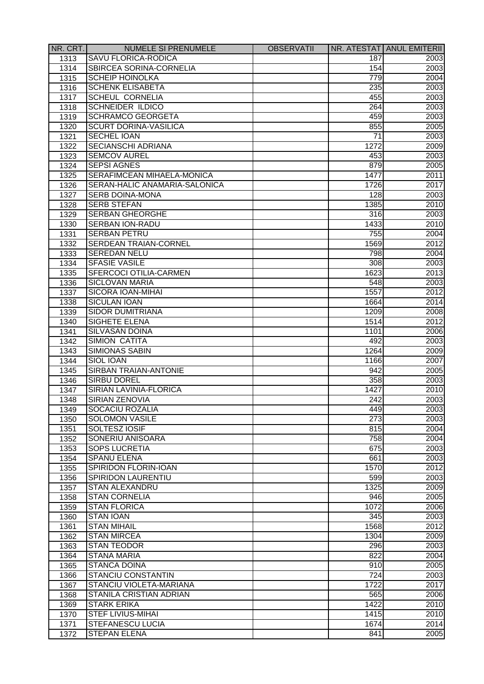| NR. CRT. | <b>NUMELE SI PRENUMELE</b>     | <b>OBSERVATII</b> |                  | NR. ATESTAT ANUL EMITERII |
|----------|--------------------------------|-------------------|------------------|---------------------------|
| 1313     | SAVU FLORICA-RODICA            |                   | 187              | 2003                      |
| 1314     | SBIRCEA SORINA-CORNELIA        |                   | 154              | 2003                      |
| 1315     | <b>SCHEIP HOINOLKA</b>         |                   | 779              | 2004                      |
| 1316     | <b>SCHENK ELISABETA</b>        |                   | 235              | 2003                      |
| 1317     | <b>SCHEUL CORNELIA</b>         |                   | 455              | 2003                      |
| 1318     | <b>SCHNEIDER ILDICO</b>        |                   | 264              | 2003                      |
| 1319     | <b>SCHRAMCO GEORGETA</b>       |                   | 459              | 2003                      |
| 1320     | <b>SCURT DORINA-VASILICA</b>   |                   | 855              | 2005                      |
| 1321     | <b>SECHEL IOAN</b>             |                   | 71               | 2003                      |
| 1322     | <b>SECIANSCHI ADRIANA</b>      |                   | 1272             | 2009                      |
| 1323     | <b>SEMCOV AUREL</b>            |                   | 453              | 2003                      |
| 1324     | <b>SEPSI AGNES</b>             |                   | 879              | 2005                      |
| 1325     | SERAFIMCEAN MIHAELA-MONICA     |                   | 1477             | 2011                      |
| 1326     | SERAN-HALIC ANAMARIA-SALONICA  |                   | 1726             | 2017                      |
| 1327     | <b>SERB DOINA-MONA</b>         |                   | 128              | 2003                      |
| 1328     | <b>SERB STEFAN</b>             |                   | 1385             | 2010                      |
| 1329     | <b>SERBAN GHEORGHE</b>         |                   | 316              | 2003                      |
| 1330     | SERBAN ION-RADU                |                   | 1433             | 2010                      |
| 1331     | <b>SERBAN PETRU</b>            |                   | 755              | 2004                      |
| 1332     | <b>SERDEAN TRAIAN-CORNEL</b>   |                   | 1569             | 2012                      |
| 1333     | <b>SEREDAN NELU</b>            |                   | 798              | 2004                      |
|          | <b>SFASIE VASILE</b>           |                   |                  |                           |
| 1334     |                                |                   | 308              | 2003                      |
| 1335     | SFERCOCI OTILIA-CARMEN         |                   | 1623             | 2013                      |
| 1336     | <b>SICLOVAN MARIA</b>          |                   | 548              | 2003                      |
| 1337     | SICORA IOAN-MIHAI              |                   | 1557             | 2012                      |
| 1338     | <b>SICULAN IOAN</b>            |                   | 1664             | 2014                      |
| 1339     | SIDOR DUMITRIANA               |                   | 1209             | 2008                      |
| 1340     | SIGHETE ELENA                  |                   | 1514             | 2012                      |
| 1341     | <b>SILVASAN DOINA</b>          |                   | 1101             | 2006                      |
| 1342     | <b>SIMION CATITA</b>           |                   | 492              | 2003                      |
| 1343     | <b>SIMIONAS SABIN</b>          |                   | 1264             | 2009                      |
| 1344     | <b>SIOL IOAN</b>               |                   | 1166             | 2007                      |
| 1345     | <b>SIRBAN TRAIAN-ANTONIE</b>   |                   | 942              | 2005                      |
| 1346     | <b>SIRBU DOREL</b>             |                   | 358              | 2003                      |
| 1347     | SIRIAN LAVINIA-FLORICA         |                   | 1427             | 2010                      |
| 1348     | <b>SIRIAN ZENOVIA</b>          |                   | 242              | 2003                      |
| 1349     | SOCACIU ROZALIA                |                   | 449              | 2003                      |
| 1350     | <b>SOLOMON VASILE</b>          |                   | $\overline{273}$ | 2003                      |
| 1351     | SOLTESZ IOSIF                  |                   | 815              | 2004                      |
| 1352     | SONERIU ANISOARA               |                   | 758              | 2004                      |
| 1353     | <b>SOPS LUCRETIA</b>           |                   | 675              | 2003                      |
| 1354     | <b>SPANU ELENA</b>             |                   | 661              | 2003                      |
| 1355     | <b>SPIRIDON FLORIN-IOAN</b>    |                   | 1570             | 2012                      |
| 1356     | <b>SPIRIDON LAURENTIU</b>      |                   | 599              | 2003                      |
| 1357     | <b>STAN ALEXANDRU</b>          |                   | 1325             | 2009                      |
| 1358     | <b>STAN CORNELIA</b>           |                   | 946              | 2005                      |
| 1359     | <b>STAN FLORICA</b>            |                   | 1072             | 2006                      |
| 1360     | <b>STAN IOAN</b>               |                   | 345              | 2003                      |
| 1361     | <b>STAN MIHAIL</b>             |                   | 1568             | 2012                      |
| 1362     | <b>STAN MIRCEA</b>             |                   | 1304             | 2009                      |
| 1363     | <b>STAN TEODOR</b>             |                   | 296              | 2003                      |
| 1364     | <b>STANA MARIA</b>             |                   | 822              | 2004                      |
| 1365     | <b>STANCA DOINA</b>            |                   | 910              | 2005                      |
| 1366     | <b>STANCIU CONSTANTIN</b>      |                   | 724              | 2003                      |
| 1367     | STANCIU VIOLETA-MARIANA        |                   | 1722             | 2017                      |
| 1368     | <b>STANILA CRISTIAN ADRIAN</b> |                   | 565              | 2006                      |
| 1369     | <b>STARK ERIKA</b>             |                   | 1422             | 2010                      |
| 1370     | <b>STEF LIVIUS-MIHAI</b>       |                   | 1415             | 2010                      |
| 1371     | <b>STEFANESCU LUCIA</b>        |                   | 1674             | 2014                      |
| 1372     | <b>STEPAN ELENA</b>            |                   | 841              | 2005                      |
|          |                                |                   |                  |                           |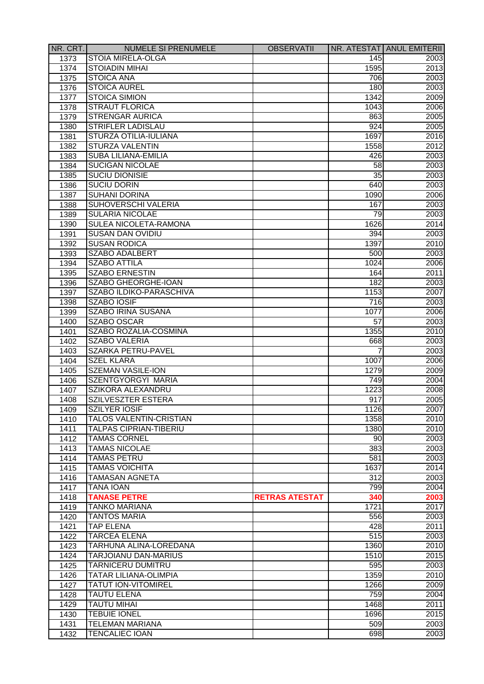| NR. CRT. | <b>NUMELE SI PRENUMELE</b>     | <b>OBSERVATII</b>     |      | NR. ATESTAT ANUL EMITERII |
|----------|--------------------------------|-----------------------|------|---------------------------|
| 1373     | <b>STOIA MIRELA-OLGA</b>       |                       | 145  | 2003                      |
| 1374     | <b>STOIADIN MIHAI</b>          |                       | 1595 | 2013                      |
| 1375     | <b>STOICA ANA</b>              |                       | 706  | 2003                      |
| 1376     | <b>STOICA AUREL</b>            |                       | 180  | 2003                      |
| 1377     | <b>STOICA SIMION</b>           |                       | 1342 | 2009                      |
| 1378     | <b>STRAUT FLORICA</b>          |                       | 1043 | 2006                      |
| 1379     | <b>STRENGAR AURICA</b>         |                       | 863  | 2005                      |
| 1380     | STRIFLER LADISLAU              |                       | 924  | 2005                      |
| 1381     | STURZA OTILIA-IULIANA          |                       | 1697 | 2016                      |
| 1382     | <b>STURZA VALENTIN</b>         |                       | 1558 | 2012                      |
| 1383     | <b>SUBA LILIANA-EMILIA</b>     |                       | 426  | 2003                      |
| 1384     | <b>SUCIGAN NICOLAE</b>         |                       | 58   | 2003                      |
| 1385     | <b>SUCIU DIONISIE</b>          |                       | 35   | 2003                      |
| 1386     | <b>SUCIU DORIN</b>             |                       | 640  | 2003                      |
| 1387     | <b>SUHANI DORINA</b>           |                       | 1090 | 2006                      |
| 1388     | SUHOVERSCHI VALERIA            |                       | 167  | 2003                      |
| 1389     | <b>SULARIA NICOLAE</b>         |                       | 79   | 2003                      |
| 1390     | SULEA NICOLETA-RAMONA          |                       | 1626 | 2014                      |
| 1391     | <b>SUSAN DAN OVIDIU</b>        |                       | 394  | 2003                      |
| 1392     | <b>SUSAN RODICA</b>            |                       | 1397 | 2010                      |
| 1393     | <b>SZABO ADALBERT</b>          |                       | 500  | 2003                      |
| 1394     | <b>SZABO ATTILA</b>            |                       | 1024 | 2006                      |
| 1395     | <b>SZABO ERNESTIN</b>          |                       | 164  | 2011                      |
| 1396     | SZABO GHEORGHE-IOAN            |                       | 182  | 2003                      |
| 1397     | SZABO ILDIKO-PARASCHIVA        |                       | 1153 | 2007                      |
| 1398     | <b>SZABO IOSIF</b>             |                       | 716  | 2003                      |
| 1399     | <b>SZABO IRINA SUSANA</b>      |                       | 1077 | 2006                      |
| 1400     | SZABO OSCAR                    |                       | 57   | 2003                      |
| 1401     | SZABO ROZALIA-COSMINA          |                       | 1355 | 2010                      |
| 1402     | <b>SZABO VALERIA</b>           |                       | 668  | 2003                      |
| 1403     | SZARKA PETRU-PAVEL             |                       |      | 2003                      |
| 1404     | <b>SZEL KLARA</b>              |                       | 1007 | 2006                      |
| 1405     | <b>SZEMAN VASILE-ION</b>       |                       | 1279 | 2009                      |
| 1406     | SZENTGYORGYI MARIA             |                       | 749  | 2004                      |
|          | <b>SZIKORA ALEXANDRU</b>       |                       | 1223 | 2008                      |
| 1407     | <b>SZILVESZTER ESTERA</b>      |                       | 917  |                           |
| 1408     | <b>SZILYER IOSIF</b>           |                       | 1126 | 2005<br>2007              |
| 1409     | <b>TALOS VALENTIN-CRISTIAN</b> |                       | 1358 | 2010                      |
| 1410     |                                |                       |      |                           |
| 1411     | <b>TALPAS CIPRIAN-TIBERIU</b>  |                       | 1380 | 2010<br>2003              |
| 1412     | <b>TAMAS CORNEL</b>            |                       | 90   |                           |
| 1413     | <b>TAMAS NICOLAE</b>           |                       | 383  | 2003                      |
| 1414     | <b>TAMAS PETRU</b>             |                       | 581  | 2003                      |
| 1415     | <b>TAMAS VOICHITA</b>          |                       | 1637 | 2014                      |
| 1416     | <b>TAMASAN AGNETA</b>          |                       | 312  | 2003                      |
| 1417     | <b>TANA IOAN</b>               |                       | 799  | 2004                      |
| 1418     | <b>TANASE PETRE</b>            | <b>RETRAS ATESTAT</b> | 340  | 2003                      |
| 1419     | <b>TANKO MARIANA</b>           |                       | 1721 | 2017                      |
| 1420     | <b>TANTOS MARIA</b>            |                       | 556  | 2003                      |
| 1421     | <b>TAP ELENA</b>               |                       | 428  | 2011                      |
| 1422     | <b>TARCEA ELENA</b>            |                       | 515  | 2003                      |
| 1423     | TARHUNA ALINA-LOREDANA         |                       | 1360 | 2010                      |
| 1424     | <b>TARJOIANU DAN-MARIUS</b>    |                       | 1510 | 2015                      |
| 1425     | <b>TARNICERU DUMITRU</b>       |                       | 595  | 2003                      |
| 1426     | <b>TATAR LILIANA-OLIMPIA</b>   |                       | 1359 | 2010                      |
| 1427     | <b>TATUT ION-VITOMIREL</b>     |                       | 1266 | 2009                      |
| 1428     | <b>TAUTU ELENA</b>             |                       | 759  | 2004                      |
| 1429     | <b>TAUTU MIHAI</b>             |                       | 1468 | 2011                      |
| 1430     | <b>TEBUIE IONEL</b>            |                       | 1696 | 2015                      |
| 1431     | <b>TELEMAN MARIANA</b>         |                       | 509  | 2003                      |
| 1432     | <b>TENCALIEC IOAN</b>          |                       | 698  | 2003                      |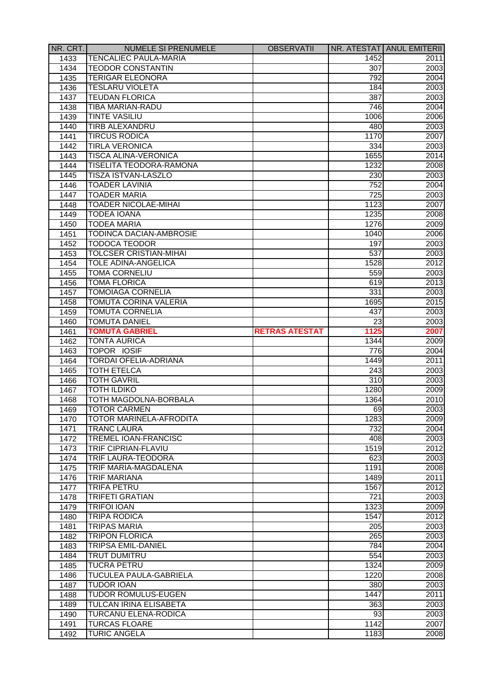| NR. CRT. | NUMELE SI PRENUMELE            | <b>OBSERVATII</b>     |                  | NR. ATESTAT   ANUL EMITERII |
|----------|--------------------------------|-----------------------|------------------|-----------------------------|
| 1433     | <b>TENCALIEC PAULA-MARIA</b>   |                       | 1452             | 2011                        |
| 1434     | <b>TEODOR CONSTANTIN</b>       |                       | 307              | 2003                        |
| 1435     | <b>TERIGAR ELEONORA</b>        |                       | 792              | 2004                        |
| 1436     | <b>TESLARU VIOLETA</b>         |                       | 184              | 2003                        |
| 1437     | <b>TEUDAN FLORICA</b>          |                       | 387              | 2003                        |
| 1438     | <b>TIBA MARIAN-RADU</b>        |                       | 746              | 2004                        |
| 1439     | <b>TINTE VASILIU</b>           |                       | 1006             | 2006                        |
| 1440     | TIRB ALEXANDRU                 |                       | 480              | 2003                        |
| 1441     | <b>TIRCUS RODICA</b>           |                       | 1170             | 2007                        |
| 1442     | <b>TIRLA VERONICA</b>          |                       | 334              | 2003                        |
| 1443     | <b>TISCA ALINA-VERONICA</b>    |                       | 1655             | 2014                        |
| 1444     | <b>TISELITA TEODORA-RAMONA</b> |                       | 1232             | 2008                        |
| 1445     | TISZA ISTVAN-LASZLO            |                       | 230              | 2003                        |
| 1446     | <b>TOADER LAVINIA</b>          |                       | 752              | 2004                        |
| 1447     | <b>TOADER MARIA</b>            |                       | 725              | 2003                        |
| 1448     | <b>TOADER NICOLAE-MIHAI</b>    |                       | 1123             | 2007                        |
| 1449     | <b>TODEA IOANA</b>             |                       | 1235             | 2008                        |
| 1450     | <b>TODEA MARIA</b>             |                       | 1276             | 2009                        |
|          | TODINCA DACIAN-AMBROSIE        |                       | 1040             |                             |
| 1451     | <b>TODOCA TEODOR</b>           |                       |                  | 2006                        |
| 1452     | <b>TOLCSER CRISTIAN-MIHAI</b>  |                       | 197              | 2003                        |
| 1453     |                                |                       | 537              | 2003                        |
| 1454     | <b>TOLE ADINA-ANGELICA</b>     |                       | 1528             | 2012                        |
| 1455     | <b>TOMA CORNELIU</b>           |                       | 559              | 2003                        |
| 1456     | <b>TOMA FLORICA</b>            |                       | 619              | 2013                        |
| 1457     | <b>TOMOIAGA CORNELIA</b>       |                       | 331              | 2003                        |
| 1458     | TOMUTA CORINA VALERIA          |                       | 1695             | 2015                        |
| 1459     | <b>TOMUTA CORNELIA</b>         |                       | 437              | 2003                        |
| 1460     | <b>TOMUTA DANIEL</b>           |                       | 23               | 2003                        |
| 1461     | <b>TOMUTA GABRIEL</b>          | <b>RETRAS ATESTAT</b> | 1125             | 2007                        |
| 1462     | <b>TONTA AURICA</b>            |                       | 1344             | 2009                        |
| 1463     | TOPOR IOSIF                    |                       | 776              | 2004                        |
| 1464     | <b>TORDAI OFELIA-ADRIANA</b>   |                       | 1449             | 2011                        |
| 1465     | <b>TOTH ETELCA</b>             |                       | 243              | 2003                        |
| 1466     | <b>TOTH GAVRIL</b>             |                       | 310              | 2003                        |
| 1467     | <b>TOTH ILDIKO</b>             |                       | 1280             | 2009                        |
| 1468     | TOTH MAGDOLNA-BORBALA          |                       | 1364             | 2010                        |
| 1469     | <b>TOTOR CARMEN</b>            |                       | 69               | 2003                        |
| 1470     | <b>TOTOR MARINELA-AFRODITA</b> |                       | 1283             | 2009                        |
| 1471     | <b>TRANC LAURA</b>             |                       | 732              | 2004                        |
| 1472     | <b>TREMEL IOAN-FRANCISC</b>    |                       | 408              | 2003                        |
| 1473     | <b>TRIF CIPRIAN-FLAVIU</b>     |                       | 1519             | 2012                        |
| 1474     | <b>TRIF LAURA-TEODORA</b>      |                       | 623              | 2003                        |
| 1475     | <b>TRIF MARIA-MAGDALENA</b>    |                       | 1191             | 2008                        |
| 1476     | <b>TRIF MARIANA</b>            |                       | 1489             | 2011                        |
| 1477     | <b>TRIFA PETRU</b>             |                       | 1567             | 2012                        |
| 1478     | <b>TRIFETI GRATIAN</b>         |                       | 721              | 2003                        |
| 1479     | <b>TRIFOI IOAN</b>             |                       | 1323             | 2009                        |
| 1480     | <b>TRIPA RODICA</b>            |                       | 1547             | 2012                        |
| 1481     | <b>TRIPAS MARIA</b>            |                       | $\overline{205}$ | 2003                        |
| 1482     | <b>TRIPON FLORICA</b>          |                       | 265              | 2003                        |
| 1483     | <b>TRIPSA EMIL-DANIEL</b>      |                       | 784              | 2004                        |
| 1484     | <b>TRUT DUMITRU</b>            |                       | 554              | 2003                        |
| 1485     | <b>TUCRA PETRU</b>             |                       | 1324             | 2009                        |
| 1486     | <b>TUCULEA PAULA-GABRIELA</b>  |                       | 1220             | 2008                        |
| 1487     | <b>TUDOR IOAN</b>              |                       | 380              | 2003                        |
| 1488     | <b>TUDOR ROMULUS-EUGEN</b>     |                       | 1447             | 2011                        |
| 1489     | <b>TULCAN IRINA ELISABETA</b>  |                       | 363              | 2003                        |
| 1490     | <b>TURCANU ELENA-RODICA</b>    |                       | 93               | 2003                        |
| 1491     | <b>TURCAS FLOARE</b>           |                       | 1142             | 2007                        |
| 1492     | <b>TURIC ANGELA</b>            |                       | 1183             | 2008                        |
|          |                                |                       |                  |                             |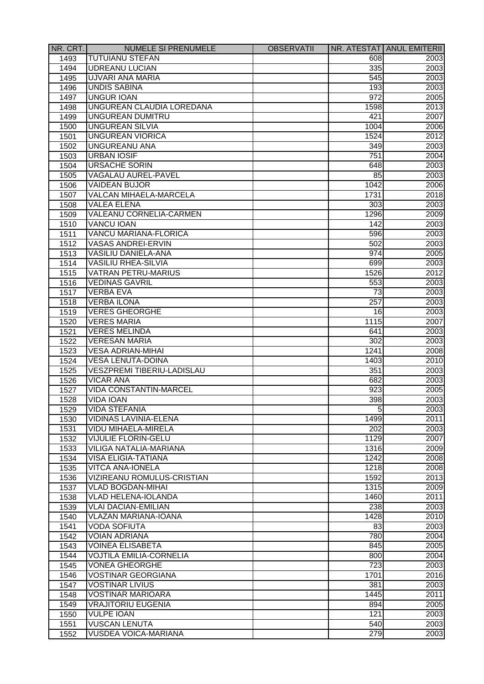| NR. CRT. | <b>NUMELE SI PRENUMELE</b>                              | <b>OBSERVATII</b> |            | NR. ATESTAT ANUL EMITERII |
|----------|---------------------------------------------------------|-------------------|------------|---------------------------|
| 1493     | <b>TUTUIANU STEFAN</b>                                  |                   | 608        | 2003                      |
| 1494     | <b>UDREANU LUCIAN</b>                                   |                   | 335        | 2003                      |
| 1495     | UJVARI ANA MARIA                                        |                   | 545        | 2003                      |
| 1496     | <b>UNDIS SABINA</b>                                     |                   | 193        | 2003                      |
| 1497     | <b>UNGUR IOAN</b>                                       |                   | 972        | 2005                      |
| 1498     | UNGUREAN CLAUDIA LOREDANA                               |                   | 1598       | 2013                      |
| 1499     | UNGUREAN DUMITRU                                        |                   | 421        | 2007                      |
| 1500     | <b>UNGUREAN SILVIA</b>                                  |                   | 1004       | 2006                      |
| 1501     | <b>UNGUREAN VIORICA</b>                                 |                   | 1524       | 2012                      |
| 1502     | <b>UNGUREANU ANA</b>                                    |                   | 349        | 2003                      |
| 1503     | <b>URBAN IOSIF</b>                                      |                   | 751        | 2004                      |
| 1504     | <b>URSACHE SORIN</b>                                    |                   | 648        | 2003                      |
| 1505     | VAGALAU AUREL-PAVEL                                     |                   | 85         | 2003                      |
| 1506     | <b>VAIDEAN BUJOR</b>                                    |                   | 1042       | 2006                      |
| 1507     | VALCAN MIHAELA-MARCELA                                  |                   | 1731       | 2018                      |
| 1508     | <b>VALEA ELENA</b>                                      |                   | 303        | 2003                      |
| 1509     | VALEANU CORNELIA-CARMEN                                 |                   | 1296       | 2009                      |
| 1510     | <b>VANCU IOAN</b>                                       |                   | 142        | 2003                      |
|          | <b>VANCU MARIANA-FLORICA</b>                            |                   | 596        | 2003                      |
| 1511     |                                                         |                   |            |                           |
| 1512     | <b>VASAS ANDREI-ERVIN</b><br><b>VASILIU DANIELA-ANA</b> |                   | 502<br>974 | 2003<br>2005              |
| 1513     |                                                         |                   |            |                           |
| 1514     | <b>VASILIU RHEA-SILVIA</b>                              |                   | 699        | 2003                      |
| 1515     | <b>VATRAN PETRU-MARIUS</b>                              |                   | 1526       | 2012                      |
| 1516     | <b>VEDINAS GAVRIL</b>                                   |                   | 553        | 2003                      |
| 1517     | <b>VERBA EVA</b>                                        |                   | 73         | 2003                      |
| 1518     | <b>VERBA ILONA</b>                                      |                   | 257        | 2003                      |
| 1519     | <b>VERES GHEORGHE</b>                                   |                   | 16         | 2003                      |
| 1520     | <b>VERES MARIA</b>                                      |                   | 1115       | 2007                      |
| 1521     | <b>VERES MELINDA</b>                                    |                   | 641        | 2003                      |
| 1522     | <b>VERESAN MARIA</b>                                    |                   | 302        | 2003                      |
| 1523     | <b>VESA ADRIAN-MIHAI</b>                                |                   | 1241       | 2008                      |
| 1524     | <b>VESA LENUTA-DOINA</b>                                |                   | 1403       | 2010                      |
| 1525     | <b>VESZPREMI TIBERIU-LADISLAU</b>                       |                   | 351        | 2003                      |
| 1526     | <b>VICAR ANA</b>                                        |                   | 682        | 2003                      |
| 1527     | <b>VIDA CONSTANTIN-MARCEL</b>                           |                   | 923        | 2005                      |
| 1528     | <b>VIDA IOAN</b>                                        |                   | 398        | 2003                      |
| 1529     | <b>VIDA STEFANIA</b>                                    |                   | 5          | 2003                      |
| 1530     | VIDINAS LAVINIA-ELENA                                   |                   | 1499       | 2011                      |
| 1531     | VIDU MIHAELA-MIRELA                                     |                   | 202        | 2003                      |
| 1532     | <b>VIJULIE FLORIN-GELU</b>                              |                   | 1129       | 2007                      |
| 1533     | VILIGA NATALIA-MARIANA                                  |                   | 1316       | 2009                      |
| 1534     | <b>VISA ELIGIA-TATIANA</b>                              |                   | 1242       | 2008                      |
| 1535     | <b>VITCA ANA-IONELA</b>                                 |                   | 1218       | 2008                      |
| 1536     | VIZIREANU ROMULUS-CRISTIAN                              |                   | 1592       | 2013                      |
| 1537     | <b>VLAD BOGDAN-MIHAI</b>                                |                   | 1315       | 2009                      |
| 1538     | <b>VLAD HELENA-IOLANDA</b>                              |                   | 1460       | 2011                      |
| 1539     | <b>VLAI DACIAN-EMILIAN</b>                              |                   | 238        | 2003                      |
| 1540     | <b>VLAZAN MARIANA-IOANA</b>                             |                   | 1428       | 2010                      |
| 1541     | <b>VODA SOFIUTA</b>                                     |                   | 83         | 2003                      |
| 1542     | <b>VOIAN ADRIANA</b>                                    |                   | 780        | 2004                      |
| 1543     | <b>VOINEA ELISABETA</b>                                 |                   | 845        | 2005                      |
| 1544     | <b>VOJTILA EMILIA-CORNELIA</b>                          |                   | 800        | 2004                      |
| 1545     | <b>VONEA GHEORGHE</b>                                   |                   | 723        | 2003                      |
| 1546     | <b>VOSTINAR GEORGIANA</b>                               |                   | 1701       | 2016                      |
| 1547     | <b>VOSTINAR LIVIUS</b>                                  |                   | 381        | 2003                      |
| 1548     | <b>VOSTINAR MARIOARA</b>                                |                   | 1445       | 2011                      |
| 1549     | <b>VRAJITORIU EUGENIA</b>                               |                   | 894        | 2005                      |
| 1550     | <b>VULPE IOAN</b>                                       |                   | 121        | 2003                      |
| 1551     | <b>VUSCAN LENUTA</b>                                    |                   | 540        | 2003                      |
|          | <b>VUSDEA VOICA-MARIANA</b>                             |                   | 279        | 2003                      |
| 1552     |                                                         |                   |            |                           |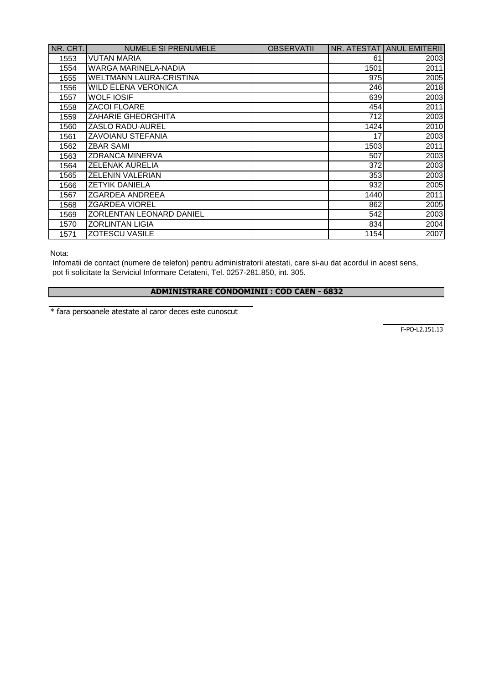| NR. CRT. | <b>NUMELE SI PRENUMELE</b>     | <b>OBSERVATII</b> | NR. ATESTATI | <b>ANUL EMITERII</b> |
|----------|--------------------------------|-------------------|--------------|----------------------|
| 1553     | <b>VUTAN MARIA</b>             |                   | 61           | 2003                 |
| 1554     | WARGA MARINELA-NADIA           |                   | 1501         | 2011                 |
| 1555     | <b>WELTMANN LAURA-CRISTINA</b> |                   | 975          | 2005                 |
| 1556     | <b>WILD ELENA VERONICA</b>     |                   | 246          | 2018                 |
| 1557     | <b>WOLF IOSIF</b>              |                   | 639          | 2003                 |
| 1558     | ZACOI FLOARE                   |                   | 454          | 2011                 |
| 1559     | <b>ZAHARIE GHEORGHITA</b>      |                   | 712          | 2003                 |
| 1560     | <b>ZASLO RADU-AUREL</b>        |                   | 1424         | 2010                 |
| 1561     | <b>ZAVOIANU STEFANIA</b>       |                   | 17           | 2003                 |
| 1562     | <b>ZBAR SAMI</b>               |                   | 1503         | 2011                 |
| 1563     | <b>ZDRANCA MINERVA</b>         |                   | 507          | 2003                 |
| 1564     | <b>ZELENAK AURELIA</b>         |                   | 372          | 2003                 |
| 1565     | <b>ZELENIN VALERIAN</b>        |                   | 353          | 2003                 |
| 1566     | <b>ZETYIK DANIELA</b>          |                   | 932          | 2005                 |
| 1567     | <b>ZGARDEA ANDREEA</b>         |                   | 1440         | 2011                 |
| 1568     | <b>ZGARDEA VIOREL</b>          |                   | 862          | 2005                 |
| 1569     | ZORLENTAN LEONARD DANIEL       |                   | 542          | 2003                 |
| 1570     | <b>ZORLINTAN LIGIA</b>         |                   | 834          | 2004                 |
| 1571     | <b>ZOTESCU VASILE</b>          |                   | 1154         | 2007                 |

Nota:

 Infomatii de contact (numere de telefon) pentru administratorii atestati, care si-au dat acordul in acest sens, pot fi solicitate la Serviciul Informare Cetateni, Tel. 0257-281.850, int. 305.

## **ADMINISTRARE CONDOMINII : COD CAEN - 6832**

\* fara persoanele atestate al caror deces este cunoscut

F-PO-L2.151.13